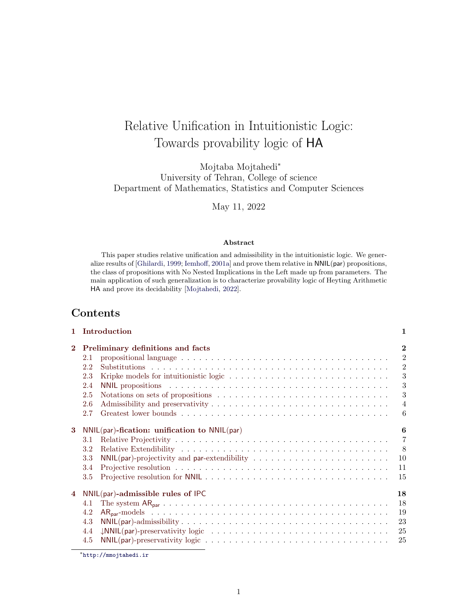# Relative Unification in Intuitionistic Logic: Towards provability logic of HA

Mojtaba Mojtahedi<sup>∗</sup> University of Tehran, College of science Department of Mathematics, Statistics and Computer Sciences

May 11, 2022

### Abstract

This paper studies relative unification and admissibility in the intuitionistic logic. We generalize results of [\[Ghilardi,](#page-27-0) [1999;](#page-27-0) [Iemhoff,](#page-28-0) [2001a\]](#page-28-0) and prove them relative in NNIL(par) propositions, the class of propositions with No Nested Implications in the Left made up from parameters. The main application of such generalization is to characterize provability logic of Heyting Arithmetic HA and prove its decidability [\[Mojtahedi,](#page-28-1) [2022\]](#page-28-1).

# Contents

|                | 1 Introduction                                    | 1              |
|----------------|---------------------------------------------------|----------------|
| $\mathbf{2}$   | Preliminary definitions and facts                 | $\mathbf{2}$   |
|                | 2.1                                               | $\overline{2}$ |
|                | 2.2                                               | $\overline{2}$ |
|                | 2.3                                               | 3              |
|                | 2.4                                               | 3              |
|                | 2.5                                               | 3              |
|                | 2.6                                               | $\overline{4}$ |
|                | 2.7                                               | 6              |
| $\mathbf{3}$   | $NNIL(par)$ -fication: unification to $NNIL(par)$ | 6              |
|                | 3.1                                               | $\overline{7}$ |
|                | 3.2                                               | 8              |
|                | 3.3                                               | 10             |
|                | 3.4                                               | 11             |
|                | 3.5                                               | 15             |
| $\overline{4}$ | $NNIL(par)$ -admissible rules of IPC              | 18             |
|                | 4.1                                               | 18             |
|                | 4.2                                               | 19             |
|                | 4.3                                               | 23             |
|                | 4.4                                               | 25             |
|                | 4.5                                               | 25             |

<sup>∗</sup><http://mmojtahedi.ir>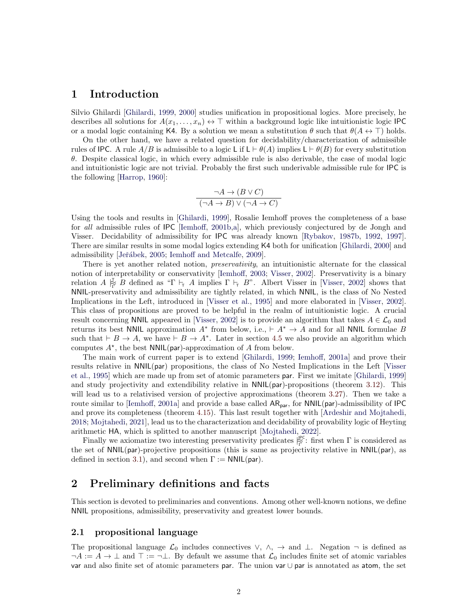### <span id="page-1-0"></span>1 Introduction

Silvio Ghilardi [\[Ghilardi,](#page-27-0) [1999,](#page-27-0) [2000\]](#page-27-1) studies unification in propositional logics. More precisely, he describes all solutions for  $A(x_1, \ldots, x_n) \leftrightarrow \top$  within a background logic like intuitionistic logic IPC or a modal logic containing K4. By a solution we mean a substitution  $\theta$  such that  $\theta(A \leftrightarrow \top)$  holds.

On the other hand, we have a related question for decidability/characterization of admissible rules of IPC. A rule  $A/B$  is admissible to a logic L if  $L \vdash \theta(A)$  implies  $L \vdash \theta(B)$  for every substitution θ. Despite classical logic, in which every admissible rule is also derivable, the case of modal logic and intuitionistic logic are not trivial. Probably the first such underivable admissible rule for IPC is the following [\[Harrop,](#page-28-2) [1960\]](#page-28-2):

$$
\frac{\neg A \to (B \lor C)}{(\neg A \to B) \lor (\neg A \to C)}
$$

Using the tools and results in [\[Ghilardi,](#page-27-0) [1999\]](#page-27-0), Rosalie Iemhoff proves the completeness of a base for all admissible rules of IPC [\[Iemhoff,](#page-28-3) [2001b,](#page-28-3)[a\]](#page-28-0), which previously conjectured by de Jongh and Visser. Decidability of admissibility for IPC was already known [\[Rybakov,](#page-28-4) [1987b,](#page-28-4) [1992,](#page-28-5) [1997\]](#page-28-6). There are similar results in some modal logics extending K4 both for unification [\[Ghilardi,](#page-27-1) [2000\]](#page-27-1) and admissibility [Jeřábek, [2005;](#page-28-7) [Iemhoff and Metcalfe,](#page-28-8) [2009\]](#page-28-8).

There is yet another related notion, *preservativity*, an intuitionistic alternate for the classical notion of interpretability or conservativity [\[Iemhoff,](#page-28-9) [2003;](#page-28-9) [Visser,](#page-28-10) [2002\]](#page-28-10). Preservativity is a binary relation  $A \succeq^{\mathcal{T}} B$  defined as " $\Gamma \vdash_{\mathcal{T}} A$  implies  $\Gamma \vdash_{\mathcal{T}} B$ ". Albert Visser in [\[Visser,](#page-28-10) [2002\]](#page-28-10) shows that NNIL-preservativity and admissibility are tightly related, in which NNIL, is the class of No Nested Implications in the Left, introduced in [\[Visser et al.,](#page-28-11) [1995\]](#page-28-11) and more elaborated in [\[Visser,](#page-28-10) [2002\]](#page-28-10). This class of propositions are proved to be helpful in the realm of intuitionistic logic. A crucial result concerning NNIL appeared in [\[Visser,](#page-28-10) [2002\]](#page-28-10) is to provide an algorithm that takes  $A \in \mathcal{L}_0$  and returns its best NNIL approximation  $A^*$  from below, i.e.,  $\vdash A^* \rightarrow A$  and for all NNIL formulae B such that  $\vdash B \to A$ , we have  $\vdash B \to A^*$ . Later in section [4.5](#page-24-1) we also provide an algorithm which computes  $A^*$ , the best NNIL(par)-approximation of A from below.

The main work of current paper is to extend [\[Ghilardi,](#page-27-0) [1999;](#page-27-0) [Iemhoff,](#page-28-0) [2001a\]](#page-28-0) and prove their results relative in NNIL(par) propositions, the class of No Nested Implications in the Left [\[Visser](#page-28-11) [et al.,](#page-28-11) [1995\]](#page-28-11) which are made up from set of atomic parameters par. First we imitate [\[Ghilardi,](#page-27-0) [1999\]](#page-27-0) and study projectivity and extendibility relative in NNIL(par)-propositions (theorem [3.12\)](#page-10-1). This will lead us to a relativised version of projective approximations (theorem [3.27\)](#page-13-0). Then we take a route similar to [\[Iemhoff,](#page-28-0) [2001a\]](#page-28-0) and provide a base called  $AR_{par}$ , for  $NNIL(par)$ -admissibility of IPC and prove its completeness (theorem [4.15\)](#page-23-0). This last result together with [\[Ardeshir and Mojtahedi,](#page-27-2) [2018;](#page-27-2) [Mojtahedi,](#page-28-12) [2021\]](#page-28-12), lead us to the characterization and decidability of provability logic of Heyting arithmetic HA, which is splitted to another manuscript [\[Mojtahedi,](#page-28-1) [2022\]](#page-28-1).

Finally we axiomatize two interesting preservativity predicates  $\big|_{\Gamma}^{\text{PC}}$ : first when  $\Gamma$  is considered as the set of NNIL(par)-projective propositions (this is same as projectivity relative in NNIL(par), as defined in section [3.1\)](#page-6-1), and second when  $\Gamma := \text{NNIL}(\text{par})$ .

# <span id="page-1-1"></span>2 Preliminary definitions and facts

This section is devoted to preliminaries and conventions. Among other well-known notions, we define NNIL propositions, admissibility, preservativity and greatest lower bounds.

#### <span id="page-1-2"></span>2.1 propositional language

The propositional language  $\mathcal{L}_0$  includes connectives  $\vee$ ,  $\wedge$ ,  $\rightarrow$  and  $\perp$ . Negation  $\neg$  is defined as  $\neg A := A \rightarrow \bot$  and  $\top := \neg \bot$ . By default we assume that  $\mathcal{L}_0$  includes finite set of atomic variables var and also finite set of atomic parameters par. The union var ∪ par is annotated as atom, the set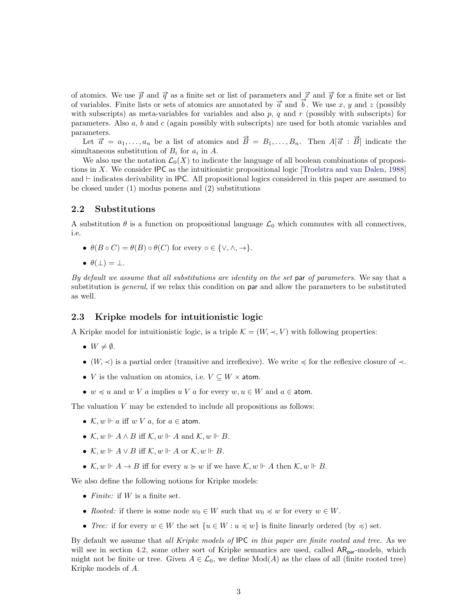of atomics. We use  $\vec{p}$  and  $\vec{q}$  as a finite set or list of parameters and  $\vec{x}$  and  $\vec{y}$  for a finite set or list of variables. Finite lists or sets of atomics are annotated by  $\vec{a}$  and  $\vec{b}$ . We use x, y and z (possibly with subscripts) as meta-variables for variables and also  $p$ ,  $q$  and  $r$  (possibly with subscripts) for parameters. Also a, b and c (again possibly with subscripts) are used for both atomic variables and parameters.

ameters.<br>Let  $\vec{a} = a_1, \dots, a_n$  be a list of atomics and  $\vec{B} = B_1, \dots, B_n$ . Then  $A[\vec{a} : \vec{B}]$  indicate the simultaneous substitution of  $B_i$  for  $a_i$  in A.

We also use the notation  $\mathcal{L}_0(X)$  to indicate the language of all boolean combinations of propositions in X. We consider IPC as the intuitionistic propositional logic [\[Troelstra and van Dalen,](#page-28-13) [1988\]](#page-28-13) and  $\vdash$  indicates derivability in IPC. All propositional logics considered in this paper are assumed to be closed under (1) modus ponens and (2) substitutions

#### <span id="page-2-0"></span>2.2 Substitutions

A substitution  $\theta$  is a function on propositional language  $\mathcal{L}_0$  which commutes with all connectives, i.e.

- $\theta(B \circ C) = \theta(B) \circ \theta(C)$  for every  $\circ \in \{\vee, \wedge, \to\}.$
- $\theta(\perp) = \perp$ .

By default we assume that all substitutions are identity on the set par of parameters. We say that a substitution is *general*, if we relax this condition on **par** and allow the parameters to be substituted as well.

#### <span id="page-2-1"></span>2.3 Kripke models for intuitionistic logic

A Kripke model for intuitionistic logic, is a triple  $\mathcal{K} = (W, \prec, V)$  with following properties:

- $W \neq \emptyset$ .
- (W,  $\prec$ ) is a partial order (transitive and irreflexive). We write  $\preccurlyeq$  for the reflexive closure of  $\prec$ .
- V is the valuation on atomics, i.e.  $V \subseteq W \times$  atom.
- $w \preccurlyeq u$  and  $w V a$  implies  $u V a$  for every  $w, u \in W$  and  $a \in \text{atom}$ .

The valuation  $V$  may be extended to include all propositions as follows:

- $\mathcal{K}, w \Vdash a$  iff  $w V a$ , for  $a \in \text{atom}$ .
- $\mathcal{K}, w \Vdash A \wedge B$  iff  $\mathcal{K}, w \Vdash A$  and  $\mathcal{K}, w \Vdash B$ .
- $\mathcal{K}, w \Vdash A \vee B$  iff  $\mathcal{K}, w \Vdash A$  or  $\mathcal{K}, w \Vdash B$ .
- $\mathcal{K}, w \Vdash A \to B$  iff for every  $u \succcurlyeq w$  if we have  $\mathcal{K}, w \Vdash A$  then  $\mathcal{K}, w \Vdash B$ .

We also define the following notions for Kripke models:

- *Finite:* if  $W$  is a finite set.
- Rooted: if there is some node  $w_0 \in W$  such that  $w_0 \preccurlyeq w$  for every  $w \in W$ .
- Tree: if for every  $w \in W$  the set  $\{u \in W : u \preccurlyeq w\}$  is finite linearly ordered (by  $\preccurlyeq$ ) set.

By default we assume that all Kripke models of IPC in this paper are finite rooted and tree. As we will see in section [4.2,](#page-18-0) some other sort of Kripke semantics are used, called  $AR_{par}$ -models, which might not be finite or tree. Given  $A \in \mathcal{L}_0$ , we define  $Mod(A)$  as the class of all (finite rooted tree) Kripke models of A.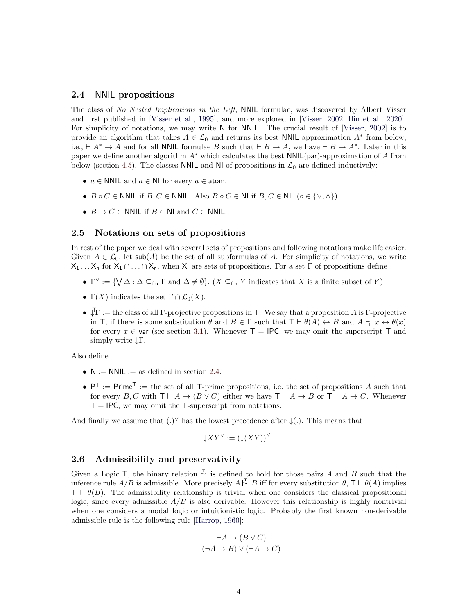#### <span id="page-3-0"></span>2.4 NNIL propositions

The class of No Nested Implications in the Left, NNIL formulae, was discovered by Albert Visser and first published in [\[Visser et al.,](#page-28-11) [1995\]](#page-28-11), and more explored in [\[Visser,](#page-28-10) [2002;](#page-28-10) [Ilin et al.,](#page-28-14) [2020\]](#page-28-14). For simplicity of notations, we may write N for NNIL. The crucial result of [\[Visser,](#page-28-10) [2002\]](#page-28-10) is to provide an algorithm that takes  $A \in \mathcal{L}_0$  and returns its best NNIL approximation  $A^*$  from below, i.e.,  $\vdash A^* \to A$  and for all NNIL formulae B such that  $\vdash B \to A$ , we have  $\vdash B \to A^*$ . Later in this paper we define another algorithm  $A^*$  which calculates the best  $NNIL(par)$ -approximation of A from below (section [4.5\)](#page-24-1). The classes NNIL and NI of propositions in  $\mathcal{L}_0$  are defined inductively:

- $a \in \mathbb{N}$ NIL and  $a \in \mathbb{N}$  for every  $a \in \mathbb{N}$  atom.
- $B \circ C \in \textsf{NNIL}$  if  $B, C \in \textsf{NNIL}$ . Also  $B \circ C \in \textsf{NI}$  if  $B, C \in \textsf{NL}$ . ( $\circ \in \{\vee, \wedge\}$ )
- $B \to C \in \mathbb{N}$ NIL if  $B \in \mathbb{N}$ I and  $C \in \mathbb{N}$ NIL.

#### <span id="page-3-1"></span>2.5 Notations on sets of propositions

In rest of the paper we deal with several sets of propositions and following notations make life easier. Given  $A \in \mathcal{L}_0$ , let sub(A) be the set of all subformulas of A. For simplicity of notations, we write  $X_1 \ldots X_n$  for  $X_1 \cap \ldots \cap X_n$ , when  $X_i$  are sets of propositions. For a set  $\Gamma$  of propositions define

- $\Gamma^{\vee} := \{ \bigvee \Delta : \Delta \subseteq_{\text{fin}} \Gamma \text{ and } \Delta \neq \emptyset \}.$  (X  $\subseteq_{\text{fin}} Y$  indicates that X is a finite subset of Y)
- $\Gamma(X)$  indicates the set  $\Gamma \cap \mathcal{L}_0(X)$ .
- $\sqrt{\Gamma}$  := the class of all  $\Gamma$ -projective propositions in T. We say that a proposition A is  $\Gamma$ -projective in T, if there is some substitution  $\theta$  and  $B \in \Gamma$  such that  $T \vdash \theta(A) \leftrightarrow B$  and  $A \vdash \tau x \leftrightarrow \theta(x)$ for every  $x \in \text{var}$  (see section [3.1\)](#page-6-1). Whenever  $T = \text{IPC}$ , we may omit the superscript T and simply write ↓Γ.

Also define

- $N := NNL :=$  as defined in section [2.4.](#page-3-0)
- $P^T := Prime^T :=$  the set of all T-prime propositions, i.e. the set of propositions A such that for every  $B, C$  with  $\mathsf{T} \vdash A \to (B \lor C)$  either we have  $\mathsf{T} \vdash A \to B$  or  $\mathsf{T} \vdash A \to C$ . Whenever  $T = IPC$ , we may omit the T-superscript from notations.

And finally we assume that  $(.)^{\vee}$  has the lowest precedence after  $\downarrow$  (.). This means that

$$
\downarrow XY^{\vee} := \left(\downarrow (XY)\right)^{\vee}.
$$

### <span id="page-3-2"></span>2.6 Admissibility and preservativity

Given a Logic T, the binary relation  $\overline{\vee}$  is defined to hold for those pairs A and B such that the inference rule  $A/B$  is admissible. More precisely  $A \stackrel{\tau}{\sim} B$  iff for every substitution  $\theta$ ,  $\tau \vdash \theta(A)$  implies  $T \vdash \theta(B)$ . The admissibility relationship is trivial when one considers the classical propositional logic, since every admissible  $A/B$  is also derivable. However this relationship is highly nontrivial when one considers a modal logic or intuitionistic logic. Probably the first known non-derivable admissible rule is the following rule [\[Harrop,](#page-28-2) [1960\]](#page-28-2):

$$
\frac{\neg A \to (B \lor C)}{(\neg A \to B) \lor (\neg A \to C)}
$$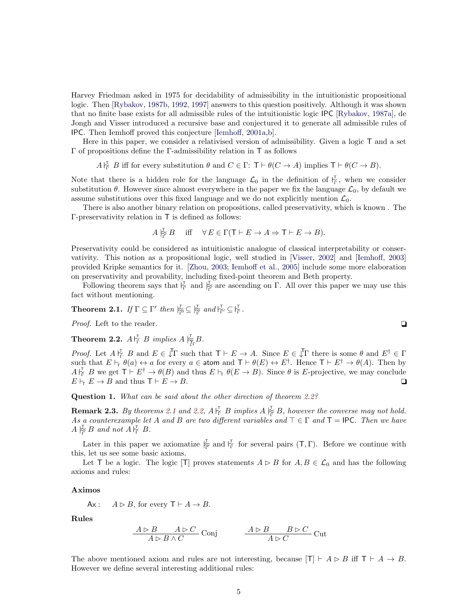Harvey Friedman asked in 1975 for decidability of admissibility in the intuitionistic propositional logic. Then [\[Rybakov,](#page-28-4) [1987b,](#page-28-4) [1992,](#page-28-5) [1997\]](#page-28-6) answers to this question positively. Although it was shown that no finite base exists for all admissible rules of the intuitionistic logic IPC [\[Rybakov,](#page-28-15) [1987a\]](#page-28-15), de Jongh and Visser introduced a recursive base and conjectured it to generate all admissible rules of IPC. Then Iemhoff proved this conjecture [\[Iemhoff,](#page-28-0) [2001a,](#page-28-0)[b\]](#page-28-3).

Here in this paper, we consider a relativised version of admissibility. Given a logic T and a set Γ of propositions define the Γ-admissibility relation in T as follows

 $A\substack{\Gamma \subset \Gamma \ \Gamma}$  B iff for every substitution  $\theta$  and  $C \in \Gamma: \top \vdash \theta(C \to A)$  implies  $\top \vdash \theta(C \to B)$ .

Note that there is a hidden role for the language  $\mathcal{L}_0$  in the definition of  $\overline{Y}_r$ , when we consider substitution  $\theta$ . However since almost everywhere in the paper we fix the language  $\mathcal{L}_0$ , by default we assume substitutions over this fixed language and we do not explicitly mention  $\mathcal{L}_0$ .

There is also another binary relation on propositions, called preservativity, which is known . The Γ-preservativity relation in T is defined as follows:

$$
A \rvert_{\widetilde{\Gamma}} B
$$
 iff  $\forall E \in \Gamma(\mathsf{T} \vdash E \to A \Rightarrow \mathsf{T} \vdash E \to B).$ 

Preservativity could be considered as intuitionistic analogue of classical interpretability or conservativity. This notion as a propositional logic, well studied in [\[Visser,](#page-28-10) [2002\]](#page-28-10) and [\[Iemhoff,](#page-28-9) [2003\]](#page-28-9) provided Kripke semantics for it. [\[Zhou,](#page-28-16) [2003;](#page-28-16) [Iemhoff et al.,](#page-28-17) [2005\]](#page-28-17) include some more elaboration on preservativity and provability, including fixed-point theorem and Beth property.

Following theorem says that  $\frac{V}{\Gamma}$  and  $\frac{V}{\Gamma}$  are ascending on Γ. All over this paper we may use this fact without mentioning.

# <span id="page-4-1"></span>**Theorem 2.1.** If  $\Gamma \subseteq \Gamma'$  then  $\frac{1}{\Gamma'} \subseteq \frac{1}{\Gamma'}$  and  $\frac{1}{\Gamma'} \subseteq \frac{1}{\Gamma}$ .

*Proof.* Left to the reader.  $\Box$ 

<span id="page-4-0"></span>**Theorem 2.2.**  $A \, \substack{\mathsf{r}^{\mathsf{T}}_{\Gamma} \\ \nightharpoonup} B \implies A \, \substack{\mathsf{r}^{\mathsf{T}}_{\Gamma} \\ \nightharpoonup} B.$ 

*Proof.* Let  $A \, \vert_{\Gamma}^{\mathcal{F}} \, B$  and  $E \in \mathcal{F}$  such that  $\mathcal{T} \vdash E \to A$ . Since  $E \in \mathcal{F}$  there is some  $\theta$  and  $E^{\dagger} \in \Gamma$ such that  $E \vdash_{\tau} \theta(a) \leftrightarrow a$  for every  $a \in \text{atom}$  and  $\tau \vdash \theta(E) \leftrightarrow E^{\dagger}$ . Hence  $\tau \vdash E^{\dagger} \rightarrow \theta(A)$ . Then by  $A\vert_{\Gamma}^{\mathcal{I}}$  B we get  $\mathsf{T}\vdash E^{\dagger}\to\theta(B)$  and thus  $E\vdash_{\mathsf{T}}\theta(E\to B)$ . Since  $\theta$  is E-projective, we may conclude  $E \vdash_{\mathsf{T}} E \to B$  and thus  $\mathsf{T} \vdash E \to B$ .

Question 1. What can be said about the other direction of theorem [2.2?](#page-4-0)

**Remark 2.3.** By theorems [2.1](#page-4-1) and [2.2,](#page-4-0)  $A \rvert_{\Gamma}^{\mathsf{T}} B$  implies  $A \rvert_{\Gamma}^{\mathsf{T}} B$ , however the converse may not hold. As a counterexample let A and B are two different variables and  $\top \in \Gamma$  and  $\top = \text{IPC}$ . Then we have  $A \rvert_{\widetilde{\Gamma}}^{\mathbb{T}} B$  and not  $A \rvert_{\Gamma}^{\mathbb{T}} B$ .

Later in this paper we axiomatize  $\frac{1}{\Gamma}$  and  $\frac{1}{\Gamma}$  for several pairs  $(T, \Gamma)$ . Before we continue with this, let us see some basic axioms.

Let T be a logic. The logic [T] proves statements  $A \triangleright B$  for  $A, B \in \mathcal{L}_0$  and has the following axioms and rules:

#### Aximos

Ax:  $A \triangleright B$ , for every  $\mathsf{T} \vdash A \to B$ .

Rules

$$
\frac{A \rhd B \qquad A \rhd C}{A \rhd B \wedge C} \text{Conj} \qquad \frac{A \rhd B \qquad B \rhd C}{A \rhd C} \text{Cut}
$$

The above mentioned axiom and rules are not interesting, because  $[T] \vdash A \rhd B$  iff  $T \vdash A \rightarrow B$ . However we define several interesting additional rules: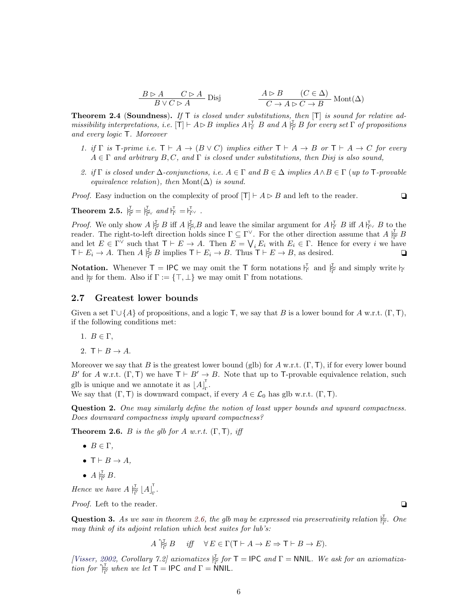$$
\frac{B \triangleright A \qquad C \triangleright A}{B \vee C \triangleright A} \text{Disj} \qquad \frac{A \triangleright B \qquad (C \in \Delta)}{C \to A \triangleright C \to B} \text{Mont}(\Delta)
$$

**Theorem 2.4 (Soundness).** If  $T$  is closed under substitutions, then  $[T]$  is sound for relative admissibility interpretations, i.e.  $[T] \vdash A \rhd B$  implies  $A \rvert_{\Gamma}^{\mathsf{T}} B$  and  $A \rvert_{\Gamma}^{\mathsf{T}} B$  for every set  $\Gamma$  of propositions and every logic T. Moreover

- 1. if  $\Gamma$  is T-prime i.e.  $\Gamma \vdash A \to (B \lor C)$  implies either  $\Gamma \vdash A \to B$  or  $\Gamma \vdash A \to C$  for every  $A \in \Gamma$  and arbitrary  $B, C$ , and  $\Gamma$  is closed under substitutions, then Disj is also sound,
- 2. if  $\Gamma$  is closed under  $\Delta$ -conjunctions, i.e.  $A \in \Gamma$  and  $B \in \Delta$  implies  $A \wedge B \in \Gamma$  (up to  $\Gamma$ -provable equivalence relation), then Mont( $\Delta$ ) is sound.

*Proof.* Easy induction on the complexity of proof  $|T| \vdash A \triangleright B$  and left to the reader.

<span id="page-5-2"></span>**Theorem 2.5.**  $\overline{P_{\overline{\Gamma}}} = \overline{P_{\overline{\Gamma}}} \vee$  and  $\overline{P_{\overline{\Gamma}}} = \overline{P_{\overline{\Gamma}}} \vee$ .

*Proof.* We only show  $A \not\stackrel{\tau}{\underset{\tau}{\upharpoonright}} B$  iff  $A \not\stackrel{\tau}{\underset{\tau}{\upharpoonright}} B$  and leave the similar argument for  $A \not\stackrel{\tau}{\underset{\tau}{\downharpoonright}} B$  iff  $A \not\stackrel{\tau}{\underset{\tau}{\downharpoonright}} B$  to the reader. The right-to-left direction holds since  $\Gamma \subseteq \Gamma^{\vee}$ . For the other direction assume that  $A \not\stackrel{\tau}{\in} B$ and let  $E \in \Gamma^{\vee}$  such that  $\mathsf{T} \vdash E \to A$ . Then  $E = \bigvee_i E_i$  with  $E_i \in \Gamma$ . Hence for every i we have  $\mathsf{T} \vdash E_i \to A$ . Then  $A \succeq^{\mathsf{T}} B$  implies  $\mathsf{T} \vdash E_i \to B$ . Thus  $\mathsf{T} \vdash E \to B$ , as desired.  $\Box$ 

**Notation.** Whenever  $T = \mathsf{IPC}$  we may omit the T form notations  $\vert \frac{\tau}{r} \vert$  and  $\vert \frac{\tau}{r} \vert$  and simply write  $\vert \frac{\tau}{r} \vert$ and  $\underset{\Gamma}{\approx}$  for them. Also if  $\Gamma := {\top, \bot}$  we may omit  $\Gamma$  from notations.

#### <span id="page-5-0"></span>2.7 Greatest lower bounds

Given a set  $\Gamma \cup \{A\}$  of propositions, and a logic T, we say that B is a lower bound for A w.r.t. (Γ, T), if the following conditions met:

- 1.  $B \in \Gamma$ ,
- 2.  $T \vdash B \rightarrow A$ .

Moreover we say that B is the greatest lower bound (glb) for A w.r.t.  $(\Gamma, \mathsf{T})$ , if for every lower bound B' for A w.r.t.  $(\Gamma, \mathsf{T})$  we have  $\mathsf{T} \vdash B' \to B$ . Note that up to T-provable equivalence relation, such glb is unique and we annotate it as  $[A]_r^{\dagger}$ .<br><sub>Γ</sub>'

We say that  $(\Gamma, \mathsf{T})$  is downward compact, if every  $A \in \mathcal{L}_0$  has glb w.r.t.  $(\Gamma, \mathsf{T})$ .

Question 2. One may similarly define the notion of least upper bounds and upward compactness. Does downward compactness imply upward compactness?

<span id="page-5-1"></span>**Theorem 2.6.** B is the glb for A w.r.t.  $(\Gamma, \mathsf{T})$ , iff

- $B \in \Gamma$ ,
- $T \vdash B \rightarrow A$ .
- $A \underset{\Gamma}{\not\succsim} B$ .

Hence we have  $A \stackrel{\tau}{\approx} \lfloor A \rfloor_{\Gamma}^{\tau}$ .<br><sub>Γ</sub>'

*Proof.* Left to the reader.  $\Box$ 

**Question 3.** As we saw in theorem [2.6,](#page-5-1) the glb may be expressed via preservativity relation  $\frac{1}{\Gamma}$ . One may think of its adjoint relation which best suites for lub's:

 $A \stackrel{*}{\underset{\Gamma}{\mathbb{F}}} B$  iff  $\forall E \in \Gamma(\mathsf{T} \vdash A \to E \Rightarrow \mathsf{T} \vdash B \to E).$ 

[\[Visser,](#page-28-10) [2002,](#page-28-10) Corollary 7.2] axiomatizes  $\frac{1}{\Gamma}$  for  $T = \text{IPC}$  and  $\Gamma = \text{NNIL}$ . We ask for an axiomatization for  $\stackrel{\ast}{\approx}$  when we let  $\mathsf{T} = \mathsf{IPC}$  and  $\Gamma = \mathsf{NNIL}$ .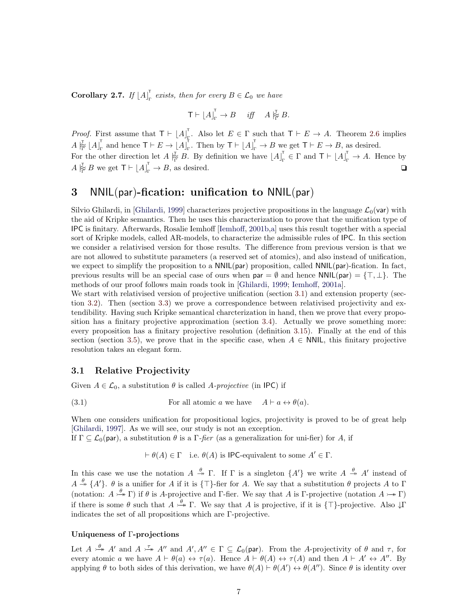Corollary 2.7. If  $[A]_r^T$  $\Gamma_{\Gamma}$  exists, then for every  $B \in \mathcal{L}_0$  we have

$$
\mathsf{T}\vdash \lfloor A\rfloor_{\Gamma}^{\mathsf{T}}\to B\quad\text{ iff }\quad A\stackrel{\mathsf{T}}{\not\cong} B.
$$

*Proof.* First assume that  $\mathsf{T} \vdash [A]_F$ <sup>1</sup>. Also let  $E \in \Gamma$  such that  $\mathsf{T} \vdash E \to A$ . Theorem [2.6](#page-5-1) implies  $A \stackrel{\tau}{\approx} [A]_{\Gamma}^{\mathsf{T}}$  $_{\Gamma}^{\mathsf{T}}$  and hence  $\mathsf{T}\vdash E\to\left\lfloor A\right\rfloor_{\Gamma}^{\mathsf{T}}$ <sup>T</sup><sub>r</sub>. Then by  $T \vdash \lfloor A \rfloor_{r}^{T} \rightarrow B$  we get  $T \vdash E \rightarrow B$ , as desired. For the other direction let  $A \not\stackrel{\tau}{\mid}_{\Gamma} B$ . By definition we have  $\lfloor A \rfloor_{\Gamma}$  $\Gamma_{\Gamma}^{\mathsf{T}} \in \Gamma$  and  $\mathsf{T} \vdash \lfloor A \rfloor_{\Gamma}^{\mathsf{T}} \to A$ . Hence by  $A \vert_{\widetilde{\Gamma}}^{\mathsf{T}} B$  we get  $\mathsf{T} \vdash \lfloor A \rfloor_{\Gamma}^{\mathsf{T}} \to B$ , as desired.

# <span id="page-6-0"></span>3 NNIL(par)-fication: unification to NNIL(par)

Silvio Ghilardi, in [\[Ghilardi,](#page-27-0) [1999\]](#page-27-0) characterizes projective propositions in the language  $\mathcal{L}_0$ (var) with the aid of Kripke semantics. Then he uses this characterization to prove that the unification type of IPC is finitary. Afterwards, Rosalie Iemhoff [\[Iemhoff,](#page-28-3) [2001b,](#page-28-3)[a\]](#page-28-0) uses this result together with a special sort of Kripke models, called AR-models, to characterize the admissible rules of IPC. In this section we consider a relativised version for those results. The difference from previous version is that we are not allowed to substitute parameters (a reserved set of atomics), and also instead of unification, we expect to simplify the proposition to a  $NNIL(par)$  proposition, called  $NNIL(par)$ -fication. In fact, previous results will be an special case of ours when  $\text{par} = \emptyset$  and hence NNIL(par) = { $\top, \bot$ }. The methods of our proof follows main roads took in [\[Ghilardi,](#page-27-0) [1999;](#page-27-0) [Iemhoff,](#page-28-0) [2001a\]](#page-28-0).

We start with relativised version of projective unification (section [3.1\)](#page-6-1) and extension property (section [3.2\)](#page-7-0). Then (section [3.3\)](#page-9-0) we prove a correspondence between relativised projectivity and extendibility. Having such Kripke semantical charcterization in hand, then we prove that every proposition has a finitary projective approximation (section [3.4\)](#page-10-0). Actually we prove something more: every proposition has a finitary projective resolution (definition [3.15\)](#page-10-2). Finally at the end of this section (section [3.5\)](#page-14-0), we prove that in the specific case, when  $A \in \text{NNIL}$ , this finitary projective resolution takes an elegant form.

### <span id="page-6-1"></span>3.1 Relative Projectivity

Given  $A \in \mathcal{L}_0$ , a substitution  $\theta$  is called A-projective (in IPC) if

(3.1) For all atomic 
$$
a
$$
 we have  $A \vdash a \leftrightarrow \theta(a)$ .

When one considers unification for propositional logics, projectivity is proved to be of great help [\[Ghilardi,](#page-27-3) [1997\]](#page-27-3). As we will see, our study is not an exception.

If  $\Gamma \subseteq \mathcal{L}_0(par)$ , a substitution  $\theta$  is a  $\Gamma$ -fier (as a generalization for uni-fier) for A, if

 $\vdash \theta(A) \in \Gamma$  i.e.  $\theta(A)$  is IPC-equivalent to some  $A' \in \Gamma$ .

In this case we use the notation  $A \stackrel{\theta}{\rightarrow} \Gamma$ . If  $\Gamma$  is a singleton  $\{A'\}$  we write  $A \stackrel{\theta}{\rightarrow} A'$  instead of  $A \stackrel{\theta}{\rightarrow} \{A'\}$ .  $\theta$  is a unifier for A if it is  $\{\top\}$ -fier for A. We say that a substitution  $\theta$  projects A to  $\Gamma$ (notation:  $A \stackrel{\theta}{\rightarrow} \Gamma$ ) if  $\theta$  is A-projective and Γ-fier. We say that A is Γ-projective (notation  $A \rightarrow \Gamma$ ) if there is some  $\theta$  such that  $A \stackrel{\theta}{\rightarrow} \Gamma$ . We say that A is projective, if it is  $\{\top\}$ -projective. Also  $\downarrow \Gamma$ indicates the set of all propositions which are Γ-projective.

#### Uniqueness of Γ-projections

Let  $A \stackrel{\theta}{\rightarrow} A'$  and  $A \stackrel{\tau}{\rightarrow} A''$  and  $A', A'' \in \Gamma \subseteq \mathcal{L}_0(par)$ . From the A-projectivity of  $\theta$  and  $\tau$ , for every atomic a we have  $A \vdash \theta(a) \leftrightarrow \tau(a)$ . Hence  $A \vdash \theta(A) \leftrightarrow \tau(A)$  and then  $A \vdash A' \leftrightarrow A''$ . By applying  $\theta$  to both sides of this derivation, we have  $\theta(A) \vdash \theta(A') \leftrightarrow \theta(A'')$ . Since  $\theta$  is identity over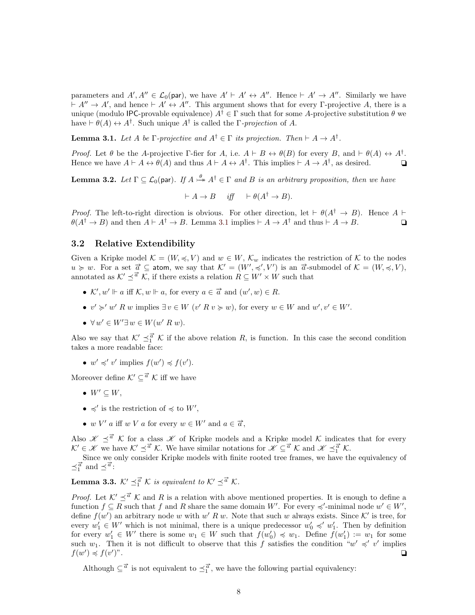parameters and  $A', A'' \in \mathcal{L}_0(par)$ , we have  $A' \vdash A' \leftrightarrow A''$ . Hence  $\vdash A' \rightarrow A''$ . Similarly we have  $\vdash A'' \rightarrow A'$ , and hence  $\vdash A' \leftrightarrow A''$ . This argument shows that for every Γ-projective A, there is a unique (modulo IPC-provable equivalence)  $A^{\dagger} \in \Gamma$  such that for some A-projective substitution  $\theta$  we have  $\vdash \theta(A) \leftrightarrow A^{\dagger}$ . Such unique  $A^{\dagger}$  is called the  $\Gamma$ -projection of A.

<span id="page-7-1"></span>**Lemma 3.1.** Let A be  $\Gamma$ -projective and  $A^{\dagger} \in \Gamma$  its projection. Then  $\vdash A \rightarrow A^{\dagger}$ .

Proof. Let  $\theta$  be the A-projective Γ-fier for A, i.e.  $A \vdash B \leftrightarrow \theta(B)$  for every B, and  $\vdash \theta(A) \leftrightarrow A^{\dagger}$ . Hence we have  $A \vdash A \leftrightarrow \theta(A)$  and thus  $A \vdash A \leftrightarrow A^{\dagger}$ . This implies  $\vdash A \to A^{\dagger}$ , as desired.  $\Box$ 

<span id="page-7-4"></span>**Lemma 3.2.** Let  $\Gamma \subseteq \mathcal{L}_0(par)$ . If  $A \stackrel{\theta}{\rightarrow} A^{\dagger} \in \Gamma$  and B is an arbitrary proposition, then we have

$$
\vdash A \to B \quad \text{ iff } \quad \vdash \theta(A^{\dagger} \to B).
$$

*Proof.* The left-to-right direction is obvious. For other direction, let  $\vdash \theta(A^{\dagger} \rightarrow B)$ . Hence A  $\vdash$  $\theta(A^{\dagger} \to B)$  and then  $A \vdash A^{\dagger} \to B$ . Lemma [3.1](#page-7-1) implies  $\vdash A \to A^{\dagger}$  and thus  $\vdash A \to B$ .

### <span id="page-7-0"></span>3.2 Relative Extendibility

Given a Kripke model  $\mathcal{K} = (W, \preccurlyeq, V)$  and  $w \in W$ ,  $\mathcal{K}_w$  indicates the restriction of  $\mathcal K$  to the nodes  $u \geq w$ . For a set  $\vec{a} \subseteq$  atom, we say that  $\mathcal{K}' = (W', \preccurlyeq', V')$  is an  $\vec{a}$ -submodel of  $\mathcal{K} = (W, \preccurlyeq, V)$ , annotated as  $K' \preceq^{\vec{a}} K$ , if there exists a relation  $R \subseteq W' \times W$  such that

- $\mathcal{K}', w' \Vdash a$  iff  $\mathcal{K}, w \Vdash a$ , for every  $a \in \vec{a}$  and  $(w', w) \in R$ .
- $v' \succcurlyeq' w' R w$  implies  $\exists v \in W \ (v' R v \succcurlyeq w)$ , for every  $w \in W$  and  $w', v' \in W'$ .
- $\forall w' \in W' \exists w \in W(w' R w).$

Also we say that  $K' \preceq^{\vec{a}}_1 \hat{K}$  if the above relation R, is function. In this case the second condition takes a more readable face:

•  $w' \preccurlyeq' v'$  implies  $f(w') \preccurlyeq f(v')$ .

Moreover define  $\mathcal{K}' \subseteq \vec{a} \mathcal{K}$  iff we have

- $W' \subseteq W$ ,
- $\preccurlyeq'$  is the restriction of  $\preccurlyeq$  to  $W'$ ,
- w V' a iff w V a for every  $w \in W'$  and  $a \in \vec{a}$ ,

Also  $\mathscr{K} \preceq^{\vec{a}} \mathscr{K}$  for a class  $\mathscr{K}$  of Kripke models and a Kripke model  $\mathscr{K}$  indicates that for every  $K' \in \mathcal{K}$  we have  $K' \preceq^{\vec{a}} K$ . We have similar notations for  $\mathcal{K} \subseteq^{\vec{a}} K$  and  $\mathcal{K} \preceq^{\vec{a}} K$ .

Since we only consider Kripke models with finite rooted tree frames, we have the equivalency of  $\preceq^{\vec{a}}_1$  and  $\preceq^{\vec{a}}$ :

<span id="page-7-2"></span>**Lemma 3.3.**  $K' \preceq^{\vec{a}}_{1} \mathcal{K}$  is equivalent to  $K' \preceq^{\vec{a}} \mathcal{K}$ .

*Proof.* Let  $K' \preceq^{\vec{a}} K$  and R is a relation with above mentioned properties. It is enough to define a function  $f \subseteq R$  such that f and R share the same domain W'. For every  $\preccurlyeq'$ -minimal node  $w' \in W'$ , define  $f(w')$  an arbitrary node w with w' R w. Note that such w always exists. Since K' is tree, for every  $w'_1 \in W'$  which is not minimal, there is a unique predecessor  $w'_0 \preccurlyeq' w'_1$ . Then by definition for every  $w'_1 \in W'$  there is some  $w_1 \in W$  such that  $f(w'_0) \preccurlyeq w_1$ . Define  $f(w'_1) := w_1$  for some such  $w_1$ . Then it is not difficult to observe that this f satisfies the condition " $w' \preccurlyeq' v'$  implies  $f(w') \preccurlyeq f(v')$ )".  $\Box$ 

<span id="page-7-3"></span>Although  $\subseteq^{\vec{\alpha}}$  is not equivalent to  $\preceq^{\vec{\alpha}}_1$ , we have the following partial equivalency: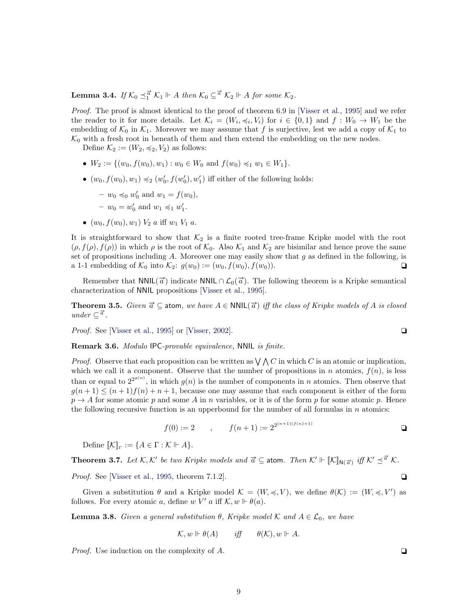**Lemma 3.4.** If  $K_0 \preceq^{\vec{a}}_1 K_1 \Vdash A$  then  $K_0 \subseteq^{\vec{a}} K_2 \Vdash A$  for some  $K_2$ .

Proof. The proof is almost identical to the proof of theorem 6.9 in [\[Visser et al.,](#page-28-11) [1995\]](#page-28-11) and we refer the reader to it for more details. Let  $\mathcal{K}_i = (W_i, \preccurlyeq_i, V_i)$  for  $i \in \{0,1\}$  and  $f: W_0 \to W_1$  be the embedding of  $K_0$  in  $K_1$ . Moreover we may assume that f is surjective, lest we add a copy of  $K_1$  to  $\mathcal{K}_0$  with a fresh root in beneath of them and then extend the embedding on the new nodes.

Define  $\mathcal{K}_2 := (W_2, \preccurlyeq_2, V_2)$  as follows:

- $W_2 := \{(w_0, f(w_0), w_1) : w_0 \in W_0 \text{ and } f(w_0) \preccurlyeq_1 w_1 \in W_1\}.$
- $(w_0, f(w_0), w_1) \preccurlyeq_2 (w'_0, f(w'_0), w'_1)$  iff either of the following holds:
	- $-w_0 \preccurlyeq_0 w'_0$  and  $w_1 = f(w_0)$ ,
	- $-w_0 = w'_0$  and  $w_1 \preccurlyeq_1 w'_1$ .
- $(w_0, f(w_0), w_1) V_2$  a iff  $w_1 V_1$  a.

It is straightforward to show that  $K_2$  is a finite rooted tree-frame Kripke model with the root  $(\rho, f(\rho), f(\rho))$  in which  $\rho$  is the root of  $\mathcal{K}_0$ . Also  $\mathcal{K}_1$  and  $\mathcal{K}_2$  are bisimilar and hence prove the same set of propositions including A. Moreover one may easily show that  $g$  as defined in the following, is a 1-1 embedding of  $K_0$  into  $K_2$ :  $g(w_0) := (w_0, f(w_0), f(w_0))$ .

Remember that  $NNIL(\vec{a})$  indicate  $NNIL \cap L_0(\vec{a})$ . The following theorem is a Kripke semantical characterization of NNIL propositions [\[Visser et al.,](#page-28-11) [1995\]](#page-28-11).

<span id="page-8-1"></span>**Theorem 3.5.** Given  $\vec{a} \subseteq$  atom, we have  $A \in \text{NNIL}(\vec{a})$  iff the class of Kripke models of A is closed  $under \subseteq \vec{a}$ .

*Proof.* See [\[Visser et al.,](#page-28-11) [1995\]](#page-28-11) or [\[Visser,](#page-28-10) [2002\]](#page-28-10).

<span id="page-8-0"></span>Remark 3.6. Modulo IPC-provable equivalence, NNIL is finite.

*Proof.* Observe that each proposition can be written as  $\bigvee$   $\bigwedge C$  in which C is an atomic or implication, which we call it a component. Observe that the number of propositions in n atomics,  $f(n)$ , is less than or equal to  $2^{2^{g(n)}}$ , in which  $g(n)$  is the number of components in n atomics. Then observe that  $g(n+1) \leq (n+1)f(n) + n+1$ , because one may assume that each component is either of the form  $p \rightarrow A$  for some atomic p and some A in n variables, or it is of the form p for some atomic p. Hence the following recursive function is an upperbound for the number of all formulas in  $n$  atomics:

$$
f(0) := 2 \qquad , \qquad f(n+1) := 2^{2^{(n+1)(f(n)+1)}}
$$

 $(1)$  (n+1)(f(n) + 1)

Define  $\llbracket \mathcal{K} \rrbracket_{\Gamma} := \{ A \in \Gamma : \mathcal{K} \Vdash A \}.$ 

<span id="page-8-3"></span>**Theorem 3.7.** Let  $K, K'$  be two Kripke models and  $\vec{a} \subseteq$  atom. Then  $K' \Vdash [\![K]\!]_{N(\vec{a})}$  iff  $K' \preceq^{\vec{a}} K$ .

*Proof.* See [\[Visser et al.,](#page-28-11) [1995,](#page-28-11) theorem 7.1.2].  $\Box$ 

Given a substitution  $\theta$  and a Kripke model  $\mathcal{K} = (W, \preccurlyeq, V)$ , we define  $\theta(\mathcal{K}) := (W, \preccurlyeq, V')$  as follows. For every atomic a, define w V' a iff  $\mathcal{K}, w \Vdash \theta(a)$ .

<span id="page-8-2"></span>**Lemma 3.8.** Given a general substitution  $\theta$ , Kripke model K and  $A \in \mathcal{L}_0$ , we have

$$
\mathcal{K}, w \Vdash \theta(A) \qquad \text{iff} \qquad \theta(\mathcal{K}), w \Vdash A.
$$

*Proof.* Use induction on the complexity of A.  $\Box$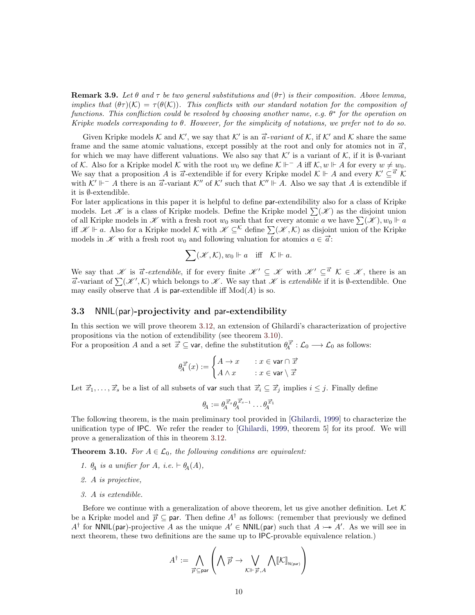**Remark 3.9.** Let  $\theta$  and  $\tau$  be two general substitutions and  $(\theta \tau)$  is their composition. Above lemma, implies that  $(\theta \tau)(\mathcal{K}) = \tau(\theta(\mathcal{K}))$ . This conflicts with our standard notation for the composition of functions. This confliction could be resolved by choosing another name, e.g.  $\theta^*$  for the operation on Kripke models corresponding to θ. However, for the simplicity of notations, we prefer not to do so.

Given Kripke models K and K', we say that K' is an  $\vec{a}$ -variant of K, if K' and K share the same frame and the same atomic valuations, except possibly at the root and only for atomics not in  $\vec{a}$ , for which we may have different valuations. We also say that  $\mathcal{K}'$  is a variant of  $\mathcal{K}$ , if it is Ø-variant of K. Also for a Kripke model K with the root  $w_0$  we define  $\mathcal{K} \Vdash^{-} A$  iff  $\mathcal{K}, w \Vdash A$  for every  $w \neq w_0$ . We say that a proposition A is  $\vec{a}$ -extendible if for every Kripke model  $\mathcal{K} \Vdash A$  and every  $\mathcal{K}' \subseteq \vec{a} \mathcal{K}$ with  $K' \Vdash A$  there is an  $\vec{a}$ -variant  $K''$  of  $K'$  such that  $K'' \Vdash A$ . Also we say that A is extendible if it is ∅-extendible.

For later applications in this paper it is helpful to define par-extendibility also for a class of Kripke models. Let  $\mathscr K$  is a class of Kripke models. Define the Kripke model  $\sum(\mathscr K)$  as the disjoint union of all Kripke models in  $\mathscr K$  with a fresh root  $w_0$  such that for every atomic a we have  $\sum(\mathscr K), w_0 \Vdash a$ iff  $\mathscr{K} \Vdash a$ . Also for a Kripke model K with  $\check{\mathscr{K}} \subseteq \check{\mathscr{K}}$  define  $\sum (\check{\mathscr{K}}, \check{\mathcal{K}})$  as disjoint union of the Kripke m  $\mathcal{X}$  =  $\alpha$ : Also for a Kripke model  $\alpha$  with  $\mathcal{X} \subseteq$  define  $\sum_{i} (\mathcal{X}, \mathcal{X})$  as disjoint models in  $\mathcal{X}$  with a fresh root  $w_0$  and following valuation for atomics  $a \in \vec{a}$ :

$$
\sum(\mathscr{K},\mathcal{K}), w_0 \Vdash a \quad \text{iff} \quad \mathcal{K} \Vdash a.
$$

We say that K is  $\vec{a}$ -extendible, if for every finite  $\mathscr{K}' \subseteq \mathscr{K}$  with  $\mathscr{K}' \subseteq \vec{a}$   $\mathcal{K} \in \mathscr{K}$ , there is an  $\vec{a}$ -variant of  $\sum(\mathcal{K}',\mathcal{K})$  which belongs to  $\mathcal{K}$ . We say that  $\mathcal{K}$  is *extendible* if it is Ø-extendible. One may easily observe that A is par-extendible iff  $Mod(A)$  is so.

### <span id="page-9-0"></span>3.3 NNIL(par)-projectivity and par-extendibility

In this section we will prove theorem [3.12,](#page-10-1) an extension of Ghilardi's characterization of projective propositions via the notion of extendibility (see theorem [3.10\)](#page-9-1).

For a proposition A and a set  $\vec{x} \subseteq$  var, define the substitution  $\theta_4^{\vec{x}} : \mathcal{L}_0 \longrightarrow \mathcal{L}_0$  as follows:

$$
\theta_A^{\overrightarrow{x}}(x) := \begin{cases} A \to x & : x \in \text{var} \cap \overrightarrow{x} \\ A \wedge x & : x \in \text{var} \setminus \overrightarrow{x} \end{cases}
$$

Let  $\vec{x}_1,\ldots,\vec{x}_s$  be a list of all subsets of var such that  $\vec{x}_i \subseteq \vec{x}_j$  implies  $i \leq j$ . Finally define

$$
\theta_A := \theta_A^{\overrightarrow{x}_s} \theta_A^{\overrightarrow{x}_{s-1}} \dots \theta_A^{\overrightarrow{x}_1}
$$

The following theorem, is the main preliminary tool provided in [\[Ghilardi,](#page-27-0) [1999\]](#page-27-0) to characterize the unification type of IPC. We refer the reader to [\[Ghilardi,](#page-27-0) [1999,](#page-27-0) theorem 5] for its proof. We will prove a generalization of this in theorem [3.12.](#page-10-1)

<span id="page-9-1"></span>**Theorem 3.10.** For  $A \in \mathcal{L}_0$ , the following conditions are equivalent:

- 1.  $\theta_A$  is a unifier for A, i.e.  $\vdash \theta_A(A)$ ,
- 2. A is projective,
- 3. A is extendible.

Before we continue with a generalization of above theorem, let us give another definition. Let  $K$ be a Kripke model and  $\vec{p} \subseteq$  par. Then define  $A^{\dagger}$  as follows: (remember that previously we defined  $A^{\dagger}$  for NNIL(par)-projective A as the unique  $A' \in \text{NNIL(par)}$  such that  $A \rightarrowtail A'$ . As we will see in next theorem, these two definitions are the same up to IPC-provable equivalence relation.)

$$
A^{\dagger}:=\bigwedge_{\overrightarrow{p}\subseteq \mathsf{par}}\left(\bigwedge \overrightarrow{p}\rightarrow \bigvee_{\mathcal{K}\Vdash \overrightarrow{p},A}\bigwedge \llbracket \mathcal{K}\rrbracket_{\mathtt{N}(\mathsf{par})}\right)
$$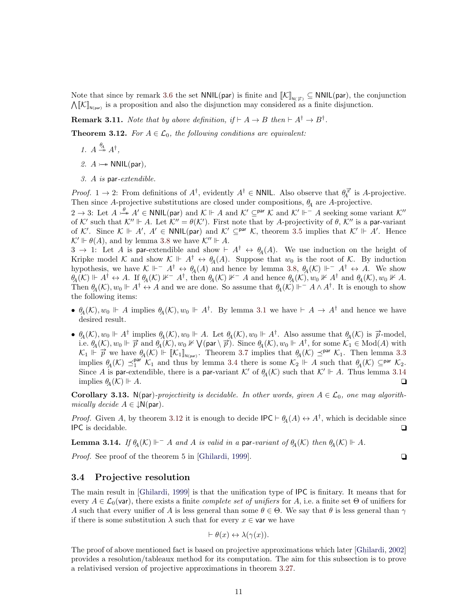Note that since by remark [3.6](#page-8-0) the set  $NNIL(par)$  is finite and  $\llbracket \mathcal{K} \rrbracket_{N(\vec{p})} \subseteq NNIL(par)$ , the conjunction  $\Lambda[\![\mathcal{K}]\!]_{N(\text{par})}$  is a proposition and also the disjunction may considered as a finite disjunction.

**Remark 3.11.** Note that by above definition, if  $\vdash A \rightarrow B$  then  $\vdash A^{\dagger} \rightarrow B^{\dagger}$ .

<span id="page-10-1"></span>**Theorem 3.12.** For  $A \in \mathcal{L}_0$ , the following conditions are equivalent:

- 1.  $A \stackrel{\theta_A}{\twoheadrightarrow} A^{\dagger}$ ,
- 2.  $A \rightarrow WNL(par)$ ,
- 3. A is par-extendible.

*Proof.* 1  $\rightarrow$  2: From definitions of  $A^{\dagger}$ , evidently  $A^{\dagger} \in$  NNIL. Also observe that  $\theta_A^{\vec{x}}$  is A-projective. Then since A-projective substitutions are closed under compositions,  $\theta_A$  are A-projective.

 $2 \to 3$ : Let  $A \xrightarrow{\theta} A' \in \text{NNIL(par)}$  and  $\mathcal{K} \Vdash A$  and  $\mathcal{K}' \subseteq^{\text{par}} \mathcal{K}$  and  $\mathcal{K}' \Vdash^{-} A$  seeking some variant  $\mathcal{K}''$ of K' such that  $K'' \Vdash A$ . Let  $K'' = \theta(K')$ . First note that by A-projectivity of  $\theta$ ,  $K''$  is a par-variant of K'. Since  $\mathcal{K} \Vdash A'$ ,  $A' \in \text{NNIL(par)}$  and  $\mathcal{K}' \subseteq^{\text{par}} \mathcal{K}$ , theorem [3.5](#page-8-1) implies that  $\mathcal{K}' \Vdash A'$ . Hence  $\mathcal{K}' \Vdash \theta(A)$ , and by lemma [3.8](#page-8-2) we have  $\mathcal{K}'' \Vdash A$ .

 $3 \to 1$ : Let A is par-extendible and show  $\vdash A^{\dagger} \leftrightarrow \theta_A(A)$ . We use induction on the height of Kripke model K and show  $\mathcal{K} \Vdash A^{\dagger} \leftrightarrow \theta_A(A)$ . Suppose that  $w_0$  is the root of K. By induction hypothesis, we have  $\mathcal{K} \Vdash^{-} A^{\dagger} \leftrightarrow \theta_A(A)$  and hence by lemma [3.8,](#page-8-2)  $\theta_A(\mathcal{K}) \Vdash^{-} A^{\dagger} \leftrightarrow A$ . We show  $\theta_A(\mathcal{K}) \Vdash A^{\dagger} \leftrightarrow A$ . If  $\theta_A(\mathcal{K}) \nvDash A^{\dagger}$ , then  $\theta_A(\mathcal{K}) \nvDash A$  and hence  $\theta_A(\mathcal{K}), w_0 \nvDash A^{\dagger}$  and  $\theta_A(\mathcal{K}), w_0 \nvDash A$ . Then  $\theta_A(\mathcal{K}), w_0 \Vdash A^{\dagger} \leftrightarrow A$  and we are done. So assume that  $\theta_A(\mathcal{K}) \Vdash^{-} A \wedge A^{\dagger}$ . It is enough to show the following items:

- $\theta_A(\mathcal{K}), w_0 \Vdash A$  implies  $\theta_A(\mathcal{K}), w_0 \Vdash A^{\dagger}$ . By lemma [3.1](#page-7-1) we have  $\vdash A \to A^{\dagger}$  and hence we have desired result.
- $\theta_A(\mathcal{K}), w_0 \Vdash A^{\dagger}$  implies  $\theta_A(\mathcal{K}), w_0 \Vdash A$ . Let  $\theta_A(\mathcal{K}), w_0 \Vdash A^{\dagger}$ . Also assume that  $\theta_A(\mathcal{K})$  is  $\vec{p}$ -model, i.e.  $\theta_A(\mathcal{K})$ ,  $w_0 \Vdash \overrightarrow{p}$  and  $\theta_A(\mathcal{K})$ ,  $w_0 \Vdash \mathcal{V}$  (par  $\setminus \overrightarrow{p}$ ). Since  $\theta_A(\mathcal{K})$ ,  $w_0 \Vdash A^{\dagger}$ , for some  $\mathcal{K}_1 \in \text{Mod}(A)$  with  $K_1 \Vdash \vec{p}$  we have  $\theta_A(\mathcal{K}) \Vdash [\![K_1]\!]_{N(\text{par})}$ . Theorem [3.7](#page-8-3) implies that  $\theta_A(\mathcal{K}) \preceq^{\text{par}} \mathcal{K}_1$ . Then lemma [3.3](#page-7-2) implies  $\theta_A(\mathcal{K}) \preceq_1^{\text{par}} \mathcal{K}_1$  and thus by lemma [3.4](#page-7-3) there is some  $\mathcal{K}_2 \Vdash A$  such that  $\theta_A(\mathcal{K}) \subseteq^{\text{par}} \mathcal{K}_2$ . Since A is par-extendible, there is a par-variant K' of  $\theta_{A}(\mathcal{K})$  such that  $\mathcal{K}' \Vdash A$ . Thus lemma [3.14](#page-10-3) implies  $\theta_4(K) \Vdash A$ .

<span id="page-10-4"></span>**Corollary 3.13.** N(par)-projectivity is decidable. In other words, given  $A \in \mathcal{L}_0$ , one may algorithmically decide  $A \in \downarrow N(\text{par})$ .

*Proof.* Given A, by theorem [3.12](#page-10-1) it is enough to decide  $\text{IPC} \vdash \theta_A(A) \leftrightarrow A^{\dagger}$ , which is decidable since **IPC** is decidable. <br>
□

<span id="page-10-3"></span>**Lemma 3.14.** If  $\theta_A(\mathcal{K}) \Vdash^{-} A$  and A is valid in a par-variant of  $\theta_A(\mathcal{K})$  then  $\theta_A(\mathcal{K}) \Vdash A$ .

*Proof.* See proof of the theorem 5 in [\[Ghilardi,](#page-27-0) [1999\]](#page-27-0).  $\Box$ 

#### <span id="page-10-0"></span>3.4 Projective resolution

The main result in [\[Ghilardi,](#page-27-0) [1999\]](#page-27-0) is that the unification type of IPC is finitary. It means that for every  $A \in \mathcal{L}_0$ (var), there exists a finite *complete set of unifiers* for A, i.e. a finite set Θ of unifiers for A such that every unifier of A is less general than some  $\theta \in \Theta$ . We say that  $\theta$  is less general than  $\gamma$ if there is some substitution  $\lambda$  such that for every  $x \in \mathsf{var}$  we have

$$
\vdash \theta(x) \leftrightarrow \lambda(\gamma(x)).
$$

<span id="page-10-2"></span>The proof of above mentioned fact is based on projective approximations which later [\[Ghilardi,](#page-27-4) [2002\]](#page-27-4) provides a resolution/tableaux method for its computation. The aim for this subsection is to prove a relativised version of projective approximations in theorem [3.27.](#page-13-0)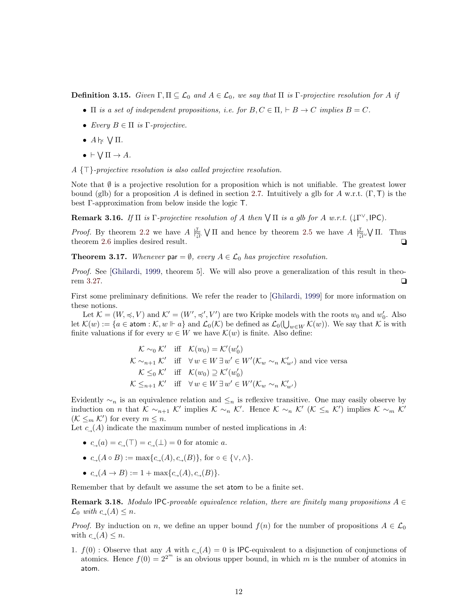**Definition 3.15.** Given  $\Gamma, \Pi \subseteq \mathcal{L}_0$  and  $A \in \mathcal{L}_0$ , we say that  $\Pi$  is  $\Gamma$ -projective resolution for A if

- $\Pi$  is a set of independent propositions, i.e. for  $B, C \in \Pi, \vdash B \to C$  implies  $B = C$ .
- Every  $B \in \Pi$  is  $\Gamma$ -projective.
- $A\mathrel{\vdash}_{\Gamma} \mathrel{\bigvee} \Pi$ .
- $\bullet \vdash \bigvee \Pi \to A.$

 $A \{\top\}$ -projective resolution is also called projective resolution.

Note that  $\emptyset$  is a projective resolution for a proposition which is not unifiable. The greatest lower bound (glb) for a proposition A is defined in section [2.7.](#page-5-0) Intuitively a glb for A w.r.t.  $(\Gamma, \mathsf{T})$  is the best Γ-approximation from below inside the logic T.

**Remark 3.16.** If  $\Pi$  is  $\Gamma$ -projective resolution of A then  $\forall \Pi$  is a glb for A w.r.t.  $(\downarrow \Gamma^{\vee}, \mathsf{IPC})$ .

*Proof.* By theorem [2.2](#page-4-0) we have  $A \not\stackrel{\tau}{\underset{\sim}{\sim}} \bigvee \Pi$  and hence by theorem [2.5](#page-5-2) we have  $A \not\stackrel{\tau}{\underset{\sim}{\sim}} \bigvee \Pi$ . Thus theorem [2.6](#page-5-1) implies desired result.  $\Box$ 

<span id="page-11-1"></span>**Theorem 3.17.** Whenever par =  $\emptyset$ , every  $A \in \mathcal{L}_0$  has projective resolution.

Proof. See [\[Ghilardi,](#page-27-0) [1999,](#page-27-0) theorem 5]. We will also prove a generalization of this result in theo-rem [3.27.](#page-13-0)  $\Box$ 

First some preliminary definitions. We refer the reader to [\[Ghilardi,](#page-27-0) [1999\]](#page-27-0) for more information on these notions.

Let  $\mathcal{K} = (W, \preccurlyeq, V)$  and  $\mathcal{K}' = (W', \preccurlyeq', V')$  are two Kripke models with the roots  $w_0$  and  $w'_0$ . Also let  $\mathcal{K}(w) := \{a \in \text{atom}: \mathcal{K}, w \Vdash a\}$  and  $\mathcal{L}_0(\mathcal{K})$  be defined as  $\mathcal{L}_0(\bigcup_{w \in W} \mathcal{K}(w))$ . We say that  $\mathcal{K}$  is with finite valuations if for every  $w \in W$  we have  $\mathcal{K}(w)$  is finite. Also define:

$$
\mathcal{K} \sim_0 \mathcal{K}' \quad \text{iff} \quad \mathcal{K}(w_0) = \mathcal{K}'(w'_0)
$$
\n
$$
\mathcal{K} \sim_{n+1} \mathcal{K}' \quad \text{iff} \quad \forall w \in W \exists w' \in W'(\mathcal{K}_w \sim_n \mathcal{K}'_{w'}) \text{ and vice versa}
$$
\n
$$
\mathcal{K} \leq_0 \mathcal{K}' \quad \text{iff} \quad \mathcal{K}(w_0) \supseteq \mathcal{K}'(w'_0)
$$
\n
$$
\mathcal{K} \leq_{n+1} \mathcal{K}' \quad \text{iff} \quad \forall w \in W \exists w' \in W'(\mathcal{K}_w \sim_n \mathcal{K}'_{w'})
$$

Evidently  $\sim_n$  is an equivalence relation and  $\leq_n$  is reflexive transitive. One may easily observe by induction on *n* that  $K \sim_{n+1} \mathcal{K}'$  implies  $\mathcal{K} \sim_n \mathcal{K}'$ . Hence  $\mathcal{K} \sim_n \mathcal{K}'$  ( $\mathcal{K} \leq_n \mathcal{K}'$ ) implies  $\mathcal{K} \sim_m \mathcal{K}'$  $(\mathcal{K} \leq_m \mathcal{K}')$  for every  $m \leq n$ .

Let  $c<sub>→</sub>(A)$  indicate the maximum number of nested implications in A:

- $c_{\square}(a) = c_{\square}(\top) = c_{\square}(\bot) = 0$  for atomic a.
- $c_{\mathcal{A}}(A \circ B) := \max\{c_{\mathcal{A}}(A), c_{\mathcal{A}}(B)\}\text{, for } \circ \in \{\vee, \wedge\}.$
- $c_{\rightarrow}(A \rightarrow B) := 1 + \max\{c_{\rightarrow}(A), c_{\rightarrow}(B)\}.$

<span id="page-11-0"></span>Remember that by default we assume the set atom to be a finite set.

**Remark 3.18.** Modulo IPC-provable equivalence relation, there are finitely many propositions  $A \in$  $\mathcal{L}_0$  with  $c(\mathcal{A}) \leq n$ .

*Proof.* By induction on n, we define an upper bound  $f(n)$  for the number of propositions  $A \in \mathcal{L}_0$ with  $c(\Lambda) \leq n$ .

1.  $f(0)$ : Observe that any A with  $c<sub>→</sub>(A) = 0$  is IPC-equivalent to a disjunction of conjunctions of atomics. Hence  $f(0) = 2^{2^m}$  is an obvious upper bound, in which m is the number of atomics in atom.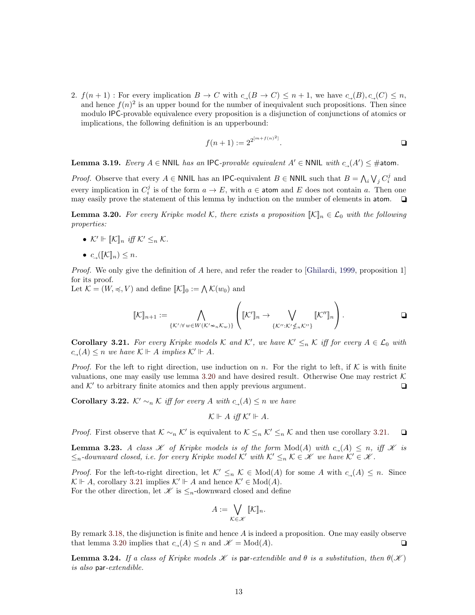2.  $f(n+1)$ : For every implication  $B \to C$  with  $c<sub>→</sub>(B \to C) \leq n+1$ , we have  $c<sub>→</sub>(B), c<sub>→</sub>(C) \leq n$ , and hence  $f(n)^2$  is an upper bound for the number of inequivalent such propositions. Then since modulo IPC-provable equivalence every proposition is a disjunction of conjunctions of atomics or implications, the following definition is an upperbound:

$$
f(n+1) := 2^{2^{[m+f(n)^2]}}.
$$

<span id="page-12-2"></span>**Lemma 3.19.** Every  $A \in \text{NNIL}$  has an IPC-provable equivalent  $A' \in \text{NNIL}$  with  $c_{\rightarrow}(A') \leq \text{#atom}$ .

*Proof.* Observe that every  $A \in \text{NNIL}$  has an IPC-equivalent  $B \in \text{NNIL}$  such that  $B = \bigwedge_i \bigvee_j C_i^j$  and every implication in  $C_i^j$  is of the form  $a \to E$ , with  $a \in \text{atom}$  and E does not contain a. Then one may easily prove the statement of this lemma by induction on the number of elements in atom.  $\Box$ 

<span id="page-12-0"></span>**Lemma 3.20.** For every Kripke model K, there exists a proposition  $\mathbb{K}\|_n \in \mathcal{L}_0$  with the following properties:

- $\mathcal{K}' \Vdash \llbracket \mathcal{K} \rrbracket_n$  iff  $\mathcal{K}' \leq_n \mathcal{K}$ .
- $c_{\mathcal{A}}(\llbracket \mathcal{K} \rrbracket_n) \leq n$ .

*Proof.* We only give the definition of A here, and refer the reader to [\[Ghilardi,](#page-27-0) [1999,](#page-27-0) proposition 1] for its proof.

Let  $\mathcal{K} = (W, \preccurlyeq, V)$  and define  $[\![\mathcal{K}]\!]_0 := \bigwedge \mathcal{K}(w_0)$  and

$$
[\![\mathcal{K}]\!]_{n+1} := \bigwedge_{\{\mathcal{K}': \forall \, w \in W(\mathcal{K}' \not\sim_n \mathcal{K}_w) \}} \left([\![\mathcal{K}']\!]_n \to \bigvee_{\{\mathcal{K}'' : \mathcal{K}' \nleq_n \mathcal{K}'' \}} [\![\mathcal{K}'']\!]_n \right).
$$

<span id="page-12-1"></span>**Corollary 3.21.** For every Kripke models K and K', we have  $K' \leq_n K$  iff for every  $A \in \mathcal{L}_0$  with  $c_-(A) \leq n$  we have  $\mathcal{K} \Vdash A$  implies  $\mathcal{K}' \Vdash A$ .

*Proof.* For the left to right direction, use induction on n. For the right to left, if  $K$  is with finite valuations, one may easily use lemma [3.20](#page-12-0) and have desired result. Otherwise One may restrict  $\mathcal K$ and  $K'$  to arbitrary finite atomics and then apply previous argument.  $\Box$ 

<span id="page-12-3"></span>**Corollary 3.22.** K'  $\sim_n$  K iff for every A with  $c_-(A)$  ≤ n we have

$$
\mathcal{K} \Vdash A \text{ iff } \mathcal{K}' \Vdash A.
$$

*Proof.* First observe that  $K \sim_n \mathcal{K}'$  is equivalent to  $\mathcal{K} \leq_n \mathcal{K}' \leq_n \mathcal{K}$  and then use corollary [3.21.](#page-12-1) ■

<span id="page-12-4"></span>**Lemma 3.23.** A class  $\mathcal{K}$  of Kripke models is of the form  $Mod(A)$  with  $c(\Lambda) \leq n$ , iff  $\mathcal{K}$  is  $\leq_n$ -downward closed, i.e. for every Kripke model K' with  $K' \leq_n K \in \mathcal{K}$  we have  $K' \in \mathcal{K}$ .

*Proof.* For the left-to-right direction, let  $K' \leq_n K \in Mod(A)$  for some A with  $c_{\rightarrow}(A) \leq n$ . Since  $K \Vdash A$ , corollary [3.21](#page-12-1) implies  $K' \Vdash A$  and hence  $K' \in Mod(A)$ . For the other direction, let  $\mathscr K$  is  $\leq_n$ -downward closed and define

$$
A := \bigvee_{\mathcal{K} \in \mathscr{K}} [\![\mathcal{K}]\!]_n.
$$

By remark [3.18,](#page-11-0) the disjunction is finite and hence  $A$  is indeed a proposition. One may easily observe that lemma [3.20](#page-12-0) implies that  $c_-(A) \le n$  and  $\mathcal{K} = \text{Mod}(A)$ .

<span id="page-12-5"></span>**Lemma 3.24.** If a class of Kripke models  $\mathcal K$  is par-extendible and  $\theta$  is a substitution, then  $\theta(\mathcal K)$ is also par-extendible.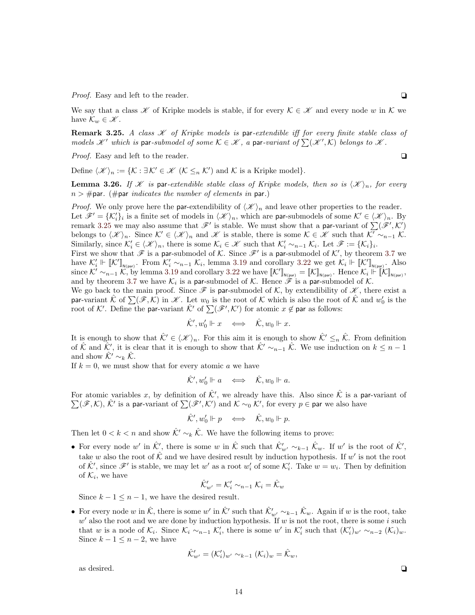*Proof.* Easy and left to the reader.  $\Box$ 

We say that a class  $\mathscr K$  of Kripke models is stable, if for every  $\mathcal K \in \mathscr K$  and every node w in K we have  $\mathcal{K}_w \in \mathscr{K}$ .

<span id="page-13-1"></span>**Remark 3.25.** A class  $\mathcal{K}$  of Kripke models is par-extendible iff for every finite stable class of models  $\mathscr{K}'$  which is par-submodel of some  $\mathcal{K} \in \mathscr{K}$ , a par-variant of  $\sum(\mathscr{K}',\mathcal{K})$  belongs to  $\mathscr{K}$ .

*Proof.* Easy and left to the reader.  $\Box$ 

Define  $\langle \mathscr{K} \rangle_n := \{ \mathcal{K} : \exists \mathcal{K}' \in \mathscr{K} \mid \mathcal{K} \leq_n \mathcal{K}' \}$  and  $\mathcal{K}$  is a Kripke model.

<span id="page-13-2"></span>**Lemma 3.26.** If *K* is par-extendible stable class of Kripke models, then so is  $\langle \mathcal{K} \rangle_n$ , for every  $n > #$ par. (#par *indicates the number of elements in* par.)

*Proof.* We only prove here the par-extendibility of  $\langle \mathcal{K} \rangle_n$  and leave other properties to the reader. Let  $\mathscr{F}' = {\{\mathcal{K}'_i\}_i}$  is a finite set of models in  $\langle \mathscr{K} \rangle_n$ , which are par-submodels of some  $\mathcal{K}' \in \langle \mathscr{K} \rangle_n$ . By remark [3.25](#page-13-1) we may also assume that  $\mathscr{F}'$  is stable. We must show that a par-variant of  $\sum(\mathscr{F}',\mathcal{K}')$ belongs to  $\langle \mathscr{K} \rangle_n$ . Since  $\mathcal{K}' \in \langle \mathscr{K} \rangle_n$  and  $\mathscr{K}$  is stable, there is some  $\mathcal{K} \in \mathscr{K}$  such that  $\mathcal{K}' \sim_{n-1} \mathcal{K}$ . Similarly, since  $\mathcal{K}'_i \in \langle \mathcal{K} \rangle_n$ , there is some  $\mathcal{K}_i \in \mathcal{K}$  such that  $\mathcal{K}'_i \sim_{n-1} \mathcal{K}_i$ . Let  $\mathcal{F} := {\mathcal{K}_i}_i$ .

First we show that  $\mathscr F$  is a par-submodel of K. Since  $\mathscr F'$  is a par-submodel of K', by theorem [3.7](#page-8-3) we have  $\mathcal{K}'_i \Vdash [\mathcal{K}']_{\mathcal{N}(par)}$ . From  $\mathcal{K}'_i \sim_{n-1} \mathcal{K}_i$ , lemma [3.19](#page-12-2) and corollary [3.22](#page-12-3) we get  $\mathcal{K}_i \Vdash [\mathcal{K}']_{\mathcal{N}(par)}$ . Also since  $\mathcal{K}' \sim_{n-1} \mathcal{K}$ , by lemma [3.19](#page-12-2) and corollary [3.22](#page-12-3) we have  $\llbracket \mathcal{K}' \rrbracket_{\mathsf{N}(\textsf{par})}$ . Hence  $\mathcal{K}_i \Vdash \llbracket \mathcal{K} \rrbracket_{\mathsf{N}(\textsf{par})}$ and by theorem [3.7](#page-8-3) we have  $\mathcal{K}_i$  is a par-submodel of  $\mathcal{K}$ . Hence  $\mathscr{F}$  is a par-submodel of  $\mathcal{K}$ .

We go back to the main proof. Since  $\mathscr F$  is par-submodel of  $\mathcal K$ , by extendibility of  $\mathscr K$ , there exist a par-variant  $\hat{\mathcal{K}}$  of  $\sum(\mathscr{F},\mathcal{K})$  in  $\mathscr{K}$ . Let  $w_0$  is the root of  $\mathcal{K}$  which is also the root of  $\hat{\mathcal{K}}$  and  $w'_0$  is the root of K'. Define the par-variant  $\hat{\mathcal{K}}'$  of  $\sum(\mathscr{F}',\mathcal{K}')$  for atomic  $x \notin$  par as follows:

$$
\hat{\mathcal{K}}', w_0' \Vdash x \quad \Longleftrightarrow \quad \hat{\mathcal{K}}, w_0 \Vdash x.
$$

It is enough to show that  $\hat{K}' \in \langle \mathcal{K} \rangle_n$ . For this aim it is enough to show  $\hat{K}' \leq_n \hat{K}$ . From definition of  $\hat{\mathcal{K}}$  and  $\hat{\mathcal{K}}'$ , it is clear that it is enough to show that  $\hat{\mathcal{K}}' \sim_{n-1} \hat{\mathcal{K}}$ . We use induction on  $k \leq n-1$ and show  $\mathcal{K}' \sim_k \mathcal{K}$ .

If  $k = 0$ , we must show that for every atomic a we have

$$
\hat{\mathcal{K}}', w_0' \Vdash a \quad \Longleftrightarrow \quad \hat{\mathcal{K}}, w_0 \Vdash a.
$$

For atomic variables x, by definition of  $\hat{\mathcal{K}}'$ , we already have this. Also since  $\hat{\mathcal{K}}$  is a par-variant of  $\sum(\mathscr{F},\mathcal{K})$ ,  $\hat{\mathcal{K}}'$  is a par-variant of  $\sum(\mathscr{F}',\mathcal{K}')$  and  $\mathcal{K} \sim_0 \mathcal{K}'$ , for every  $p \in$  par we also have

$$
\hat{\mathcal{K}}', w_0' \Vdash p \quad \Longleftrightarrow \quad \hat{\mathcal{K}}, w_0 \Vdash p.
$$

Then let  $0 < k < n$  and show  $\hat{K}' \sim_k \hat{K}$ . We have the following items to prove:

• For every node w' in  $\hat{\mathcal{K}}'$ , there is some w in  $\hat{\mathcal{K}}$  such that  $\hat{\mathcal{K}}'_{w'} \sim_{k-1} \hat{\mathcal{K}}_w$ . If w' is the root of  $\hat{\mathcal{K}}'$ , take w also the root of  $\hat{\mathcal{K}}$  and we have desired result by induction hypothesis. If w' is not the root of  $\hat{\mathcal{K}}'$ , since  $\mathscr{F}'$  is stable, we may let w' as a root w'<sub>i</sub> of some  $\mathcal{K}'_i$ . Take  $w = w_i$ . Then by definition of  $\mathcal{K}_i$ , we have

$$
\hat{\mathcal{K}}'_{w'} = \mathcal{K}'_i \sim_{n-1} \mathcal{K}_i = \hat{\mathcal{K}}_w
$$

Since  $k - 1 \leq n - 1$ , we have the desired result.

• For every node w in  $\hat{\mathcal{K}}$ , there is some w' in  $\hat{\mathcal{K}}'$  such that  $\hat{\mathcal{K}}'_{w'} \sim_{k-1} \hat{\mathcal{K}}_w$ . Again if w is the root, take  $w'$  also the root and we are done by induction hypothesis. If w is not the root, there is some i such that w is a node of  $\mathcal{K}_i$ . Since  $\mathcal{K}_i \sim_{n-1} \mathcal{K}'_i$ , there is some w' in  $\mathcal{K}'_i$  such that  $(\mathcal{K}'_i)_{w'} \sim_{n-2} (\mathcal{K}_i)_{w}$ . Since  $k - 1 \leq n - 2$ , we have

$$
\hat{\mathcal{K}}'_{w'} = (\mathcal{K}'_i)_{w'} \sim_{k-1} (\mathcal{K}_i)_w = \hat{\mathcal{K}}_w,
$$

<span id="page-13-0"></span>as desired.  $\Box$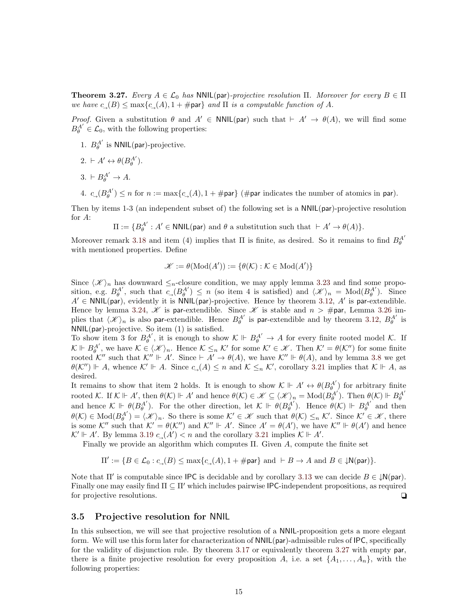**Theorem 3.27.** Every  $A \in \mathcal{L}_0$  has NNIL(par)-projective resolution Π. Moreover for every  $B \in \Pi$ we have  $c_-(B) \le \max\{c_-(A), 1 + \text{#par}\}\$  and  $\Pi$  is a computable function of A.

*Proof.* Given a substitution  $\theta$  and  $A' \in \text{NNIL(par)}$  such that  $\vdash A' \rightarrow \theta(A)$ , we will find some  $B_{\theta}^{A'} \in \mathcal{L}_0$ , with the following properties:

- 1.  $B_{\theta}^{A'}$  is NNIL(par)-projective.
- $2. \vdash A' \leftrightarrow \theta(B_{\theta}^{A'}).$
- $3. \vdash B_{\theta}^{A'} \to A.$
- 4.  $c_{\rightarrow}(B_{\theta}^{A'}) \leq n$  for  $n := \max\{c_{\rightarrow}(A), 1 + \text{\#}$ par $\}$  (#par indicates the number of atomics in par).

Then by items 1-3 (an independent subset of) the following set is a NNIL(par)-projective resolution for A:

 $\Pi:=\{B_{\theta}^{A^{\prime}}% \def\l{\lambda} \def\m{\mu} \def\g{\gamma} \def\g{\gamma} \def\g{\gamma} \def\g{\gamma} \def\g{\gamma} \def\g{\gamma} \def\g{\gamma} \def\g{\gamma} \def\g{\gamma} \def\g{\gamma} \def\g{\gamma} \def\g{\gamma} \def\g{\gamma} \def\g{\gamma} \def\g{\gamma} \def\g{\gamma} \def\g{\gamma} \def\g{\gamma} \def\g{\gamma} \def\g{\gamma} \def\g{\gamma} \def\g{\gamma} \def\g{\gamma} \def\g{\gamma} \def\g{\gamma} \def\g{\gamma} \def\g{\gamma}$  $A' : A' \in \text{NNIL}(\text{par})$  and  $\theta$  a substitution such that  $\vdash A' \rightarrow \theta(A)$ .

Moreover remark [3.18](#page-11-0) and item (4) implies that  $\Pi$  is finite, as desired. So it remains to find  $B_{\theta}^{A'}$ with mentioned properties. Define

$$
\mathscr{K} := \theta(\text{Mod}(A')) := \{ \theta(\mathcal{K}) : \mathcal{K} \in \text{Mod}(A') \}
$$

Since  $\langle \mathcal{K} \rangle_n$  has downward  $\leq_n$ -closure condition, we may apply lemma [3.23](#page-12-4) and find some proposition, e.g.  $B_{\theta}^{A'}$ , such that  $c_{\theta} (B_{\theta}^{A'}) \leq n$  (so item 4 is satisfied) and  $\langle \mathcal{K} \rangle_n = Mod(B_{\theta}^{A'})$ . Since  $A' \in \text{NNIL}(\text{par})$ , evidently it is NNIL(par)-projective. Hence by theorem [3.12,](#page-10-1) A' is par-extendible. Hence by lemma [3.24,](#page-12-5)  $\mathscr K$  is par-extendible. Since  $\mathscr K$  is stable and  $n > \text{\#}$ par, Lemma [3.26](#page-13-2) implies that  $\langle \mathcal{K} \rangle_n$  is also par-extendible. Hence  $B_{\theta}^{A'}$  is par-extendible and by theorem [3.12,](#page-10-1)  $B_{\theta}^{A'}$  is NNIL(par)-projective. So item (1) is satisfied.

To show item 3 for  $B_{\theta}^{A'}$ , it is enough to show  $K \Vdash B_{\theta}^{A'} \to A$  for every finite rooted model K. If  $\mathcal{K} \Vdash B_{\theta}^{A'}$ , we have  $\mathcal{K} \in \langle \mathcal{K} \rangle_n$ . Hence  $\mathcal{K} \leq_n \mathcal{K}'$  for some  $\mathcal{K}' \in \mathcal{K}$ . Then  $\mathcal{K}' = \theta(\mathcal{K}'')$  for some finite rooted K'' such that  $K'' \Vdash A'$ . Since  $\vdash A' \rightarrow \theta(A)$ , we have  $K'' \Vdash \theta(A)$ , and by lemma [3.8](#page-8-2) we get  $\theta(\mathcal{K}^{\prime\prime}) \Vdash A$ , whence  $\mathcal{K}' \Vdash A$ . Since  $c_{\rightarrow}(A) \leq n$  and  $\mathcal{K} \leq_{n} \mathcal{K}^{\prime}$ , corollary [3.21](#page-12-1) implies that  $\mathcal{K} \Vdash A$ , as desired.

It remains to show that item 2 holds. It is enough to show  $\mathcal{K} \Vdash A' \leftrightarrow \theta(B_{\theta}^{A'})$  for arbitrary finite rooted K. If  $K \Vdash A'$ , then  $\theta(K) \Vdash A'$  and hence  $\theta(K) \in \mathcal{K} \subseteq \langle \mathcal{K} \rangle_n = Mod(B_{\theta}^{A'})$ . Then  $\theta(K) \Vdash B_{\theta}^{A'}$ <br>and hence  $K \Vdash \theta(B_{\theta}^{A'})$ . For the other direction, let  $K \Vdash \theta(B_{\theta}^{A'})$ . Hence  $\theta(K) \Vdash B_{\theta}^{A'}$  and then  $\theta(\mathcal{K}) \in Mod(B_{\theta}^{A'}) = \langle \mathscr{K} \rangle_n$ . So there is some  $\mathcal{K}' \in \mathscr{K}$  such that  $\theta(\mathcal{K}) \leq_n \mathcal{K}'$ . Since  $\mathcal{K}' \in \mathscr{K}$ , there is some K'' such that  $K' = \theta(K'')$  and  $K'' \Vdash A'$ . Since  $A' = \theta(A')$ , we have  $K'' \Vdash \theta(A')$  and hence  $K' \Vdash A'$ . By lemma [3.19](#page-12-2)  $c<sub>→</sub>(A') < n$  and the corollary [3.21](#page-12-1) implies  $K \Vdash A'$ .

Finally we provide an algorithm which computes Π. Given A, compute the finite set

$$
\Pi':=\{B\in\mathcal{L}_0: c_{\rightarrow}(B)\leq\max\{c_{\rightarrow}(A),1+\#\text{par}\}\text{ and } \vdash B\rightarrow A \text{ and } B\in\mathcal{W}(\text{par})\}.
$$

Note that  $\Pi'$  is computable since IPC is decidable and by corollary [3.13](#page-10-4) we can decide  $B \in \mathcal{W}$ (par). Finally one may easily find  $\Pi \subseteq \Pi'$  which includes pairwise IPC-independent propositions, as required for projective resolutions.

#### <span id="page-14-0"></span>3.5 Projective resolution for NNIL

In this subsection, we will see that projective resolution of a NNIL-proposition gets a more elegant form. We will use this form later for characterization of NNIL(par)-admissible rules of IPC, specifically for the validity of disjunction rule. By theorem [3.17](#page-11-1) or equivalently theorem [3.27](#page-13-0) with empty par, there is a finite projective resolution for every proposition A, i.e. a set  $\{A_1, \ldots, A_n\}$ , with the following properties: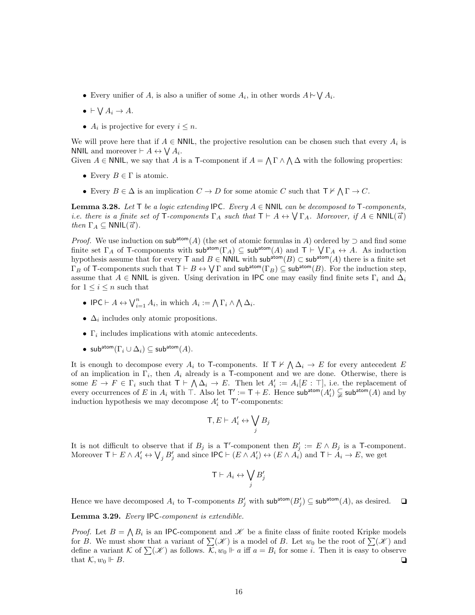- Every unifier of A, is also a unifier of some  $A_i$ , in other words  $A \sim \bigvee A_i$ .
- $\bullet \ \vdash \bigvee A_i \to A.$
- $A_i$  is projective for every  $i \leq n$ .

We will prove here that if  $A \in \mathsf{NNIL}$ , the projective resolution can be chosen such that every  $A_i$  is NNIL and moreover  $\vdash A \leftrightarrow \bigvee A_i$ .

Given  $A \in \mathsf{NNIL}$ , we say that A is a T-component if  $A = \bigwedge \Gamma \wedge \bigwedge \Delta$  with the following properties:

- Every  $B \in \Gamma$  is atomic.
- Every  $B \in \Delta$  is an implication  $C \to D$  for some atomic C such that  $\mathsf{T} \nvdash \bigwedge \Gamma \to C$ .

<span id="page-15-0"></span>**Lemma 3.28.** Let T be a logic extending IPC. Every  $A \in \text{NNIL}$  can be decomposed to T-components, **LETTER 1** SECTED TO A logic Extending  $\mathbf{R} \subset \text{Eocry } \Lambda \subset \text{WNE}$  can be accomposed to T-components, i.e. there is a finite set of T-components  $\Gamma_A$  such that  $\mathbf{T} \vdash A \leftrightarrow \mathbf{\setminus} \Gamma_A$ . Moreover, if  $A \in \text{NNIL}(\vec{a})$ *then*  $\Gamma_A \subseteq \text{NNIL}(\vec{\alpha})$ .

*Proof.* We use induction on sub<sup>atom</sup>(A) (the set of atomic formulas in A) ordered by  $\supset$  and find some finite set  $\Gamma_A$  of T-components with sub<sup>atom</sup> $(\Gamma_A) \subseteq$  sub<sup>atom</sup> $(A)$  and  $T \vdash \bigvee \Gamma_A \leftrightarrow A$ . As induction hypothesis assume that for every T and  $B \in \text{NNIL}$  with sub<sup>atom</sup>(B) ⊂ sub<sup>atom</sup>(A) there is a finite set  $\Gamma_B$  of T-components such that  $\top \vdash B \leftrightarrow \bigvee \Gamma$  and  $\mathsf{sub^{atom}}(\Gamma_B) \subseteq \mathsf{sub^{atom}}(B)$ . For the induction step, assume that A ∈ NNIL is given. Using derivation in IPC one may easily find finite sets  $\Gamma_i$  and  $\Delta_i$ for  $1 \leq i \leq n$  such that

- IPC  $\vdash A \leftrightarrow \bigvee_{i=1}^{n} A_i$ , in which  $A_i := \bigwedge \Gamma_i \wedge \bigwedge \Delta_i$ .
- $\Delta_i$  includes only atomic propositions.
- $\Gamma_i$  includes implications with atomic antecedents.
- sub<sup>atom</sup> $(\Gamma_i \cup \Delta_i) \subseteq$  sub<sup>atom</sup> $(A)$ .

It is enough to decompose every  $A_i$  to T-components. If  $\mathsf{T} \nvdash \bigwedge \Delta_i \to E$  for every antecedent E of an implication in  $\Gamma_i$ , then  $A_i$  already is a T-component and we are done. Otherwise, there is some  $E \to F \in \Gamma_i$  such that  $\mathsf{T} \vdash \bigwedge \Delta_i \to E$ . Then let  $A'_i := A_i[E : \top]$ , i.e. the replacement of every occurrences of E in  $A_i$  with  $\top$ . Also let  $\top' := \top + E$ . Hence  $\mathsf{sub^{atom}}(A'_i) \subsetneq \mathsf{sub^{atom}}(A)$  and by induction hypothesis we may decompose  $A'_i$  to  $\mathsf{T}'$ -components:

$$
\mathsf{T}, E \vdash A'_i \leftrightarrow \bigvee_j B_j
$$

It is not difficult to observe that if  $B_j$  is a T'-component then  $B'_j := E \wedge B_j$  is a T-component. Moreover  $\mathsf{T} \vdash E \land A'_i \leftrightarrow \bigvee_j B'_j$  and since  $\mathsf{IPC} \vdash (E \land A'_i) \leftrightarrow (E \land A'_i)$  and  $\mathsf{T} \vdash A_i \rightarrow E$ , we get

$$
\mathsf{T}\vdash A_i\leftrightarrow \bigvee_j B'_j
$$

Hence we have decomposed  $A_i$  to T-components  $B'_j$  with sub<sup>atom</sup> $(B'_j) \subseteq \text{sub^{atom}}(A)$ , as desired.  $\Box$ 

<span id="page-15-1"></span>Lemma 3.29. Every IPC-component is extendible.

*Proof.* Let  $B = \bigwedge B_i$  is an IPC-component and  $\mathscr K$  be a finite class of finite rooted Kripke models for B. We must show that a variant of  $\sum(\mathscr{K})$  is a model of B. Let  $w_0$  be the root of  $\sum(\mathscr{K})$  and define a variant K of  $\sum(\mathscr{K})$  as follows.  $\mathcal{K}, w_0 \Vdash a$  iff  $a = B_i$  for some i. Then it is easy to observe that  $\mathcal{K}, w_0 \Vdash B.$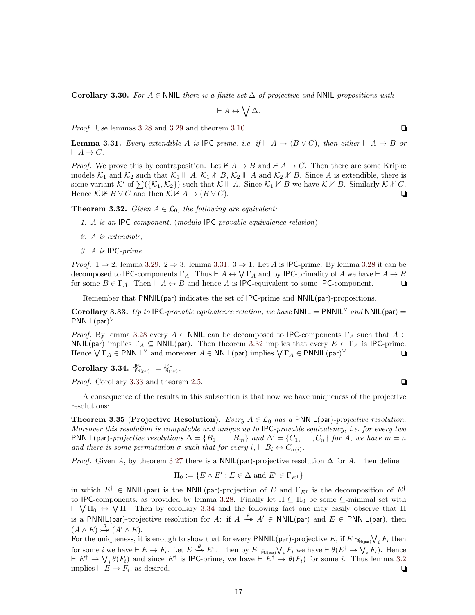Corollary 3.30. For A  $\in$  NNIL there is a finite set  $\Delta$  of projective and NNIL propositions with

$$
\vdash A \leftrightarrow \bigvee \Delta.
$$

*Proof.* Use lemmas [3.28](#page-15-0) and [3.29](#page-15-1) and theorem [3.10.](#page-9-1)  $\Box$ 

<span id="page-16-0"></span>**Lemma 3.31.** Every extendible A is IPC-prime, i.e. if  $\vdash A \rightarrow (B \vee C)$ , then either  $\vdash A \rightarrow B$  or  $\vdash A \to C.$ 

*Proof.* We prove this by contraposition. Let  $\nvdash A \rightarrow B$  and  $\nvdash A \rightarrow C$ . Then there are some Kripke models  $\mathcal{K}_1$  and  $\mathcal{K}_2$  such that  $\mathcal{K}_1 \Vdash A$ ,  $\mathcal{K}_1 \nvDash B$ ,  $\mathcal{K}_2 \Vdash A$  and  $\mathcal{K}_2 \nvDash B$ . Since A is extendible, there is some variant K' of  $\sum({\{\mathcal{K}_1,\mathcal{K}_2\}})$  such that  $\mathcal{K} \Vdash A$ . Since  $\mathcal{K}_1 \nvDash B$  we have  $\mathcal{K} \nvDash B$ . Similarly  $\mathcal{K} \nvDash C$ . Hence  $\mathcal{K} \not\vdash B \lor C$  and then  $\mathcal{K} \not\vdash A \to (B \lor C)$ .

<span id="page-16-1"></span>**Theorem 3.32.** Given  $A \in \mathcal{L}_0$ , the following are equivalent:

- 1. A is an IPC-component, (modulo IPC-provable equivalence relation)
- 2. A is extendible,
- 3. A is IPC-prime.

*Proof.*  $1 \Rightarrow 2$ : lemma [3.29.](#page-15-1)  $2 \Rightarrow 3$ : lemma [3.31.](#page-16-0)  $3 \Rightarrow 1$ : Let A is IPC-prime. By lemma [3.28](#page-15-0) it can be decomposed to IPC-components  $\Gamma_A$ . Thus  $\vdash A \leftrightarrow \bigvee \Gamma_A$  and by IPC-primality of A we have  $\vdash A \to B$ for some  $B \in \Gamma_A$ . Then  $\vdash A \leftrightarrow B$  and hence A is IPC-equivalent to some IPC-component.  $\Box$ 

Remember that PNNIL(par) indicates the set of IPC-prime and NNIL(par)-propositions.

<span id="page-16-2"></span>Corollary 3.33. Up to IPC-provable equivalence relation, we have NNIL = PNNIL<sup> $\vee$ </sup> and NNIL(par) = PNNIL(par) ∨.

*Proof.* By lemma [3.28](#page-15-0) every  $A \in \text{NNIL}$  can be decomposed to IPC-components  $\Gamma_A$  such that  $A \in$ NNIL(par) implies  $\Gamma_A \subseteq$  NNIL(par). Then theorem [3.32](#page-16-1) implies that every  $E \in \Gamma_A$  is IPC-prime. Hence  $\bigvee \Gamma_A \in \mathsf{PNNIL}^\vee$  and moreover  $A \in \mathsf{NNIL}(\mathsf{par})$  implies  $\bigvee \Gamma_A \in \mathsf{PNNIL}(\mathsf{par})^\vee$ .

<span id="page-16-3"></span>Corollary 3.34.  $\vert_{\text{PN(par)}\atop \text{PN(par)}}^{\text{IPC}} = \vert_{\text{N(par)}}^{\text{IPC}}.$ 

*Proof.* Corollary [3.33](#page-16-2) and theorem [2.5.](#page-5-2)  $\Box$ 

A consequence of the results in this subsection is that now we have uniqueness of the projective resolutions:

<span id="page-16-4"></span>**Theorem 3.35 (Projective Resolution).** Every  $A \in \mathcal{L}_0$  has a PNNIL(par)-projective resolution. Moreover this resolution is computable and unique up to IPC-provable equivalency, i.e. for every two PNNIL(par)-projective resolutions  $\Delta = \{B_1, \ldots, B_m\}$  and  $\Delta' = \{C_1, \ldots, C_n\}$  for A, we have  $m = n$ and there is some permutation  $\sigma$  such that for every  $i, \vdash B_i \leftrightarrow C_{\sigma(i)}$ .

*Proof.* Given A, by theorem [3.27](#page-13-0) there is a NNIL(par)-projective resolution  $\Delta$  for A. Then define

$$
\Pi_0:=\{E\wedge E': E\in \Delta \text{ and } E'\in \Gamma_{E^\dagger}\}
$$

in which  $E^{\dagger} \in NNIL(par)$  is the NNIL(par)-projection of E and  $\Gamma_{E^{\dagger}}$  is the decomposition of  $E^{\dagger}$ to IPC-components, as provided by lemma [3.28.](#page-15-0) Finally let  $\Pi \subseteq \Pi_0$  be some  $\subseteq$ -minimal set with  $\vdash \forall \Pi_0 \leftrightarrow \forall \Pi$ . Then by corollary [3.34](#page-16-3) and the following fact one may easily observe that  $\Pi$ is a PNNIL(par)-projective resolution for A: if  $A \stackrel{\theta}{\rightarrowtail} A' \in NNIL(par)$  and  $E \in PNNIL(par)$ , then  $(A \wedge E) \stackrel{\theta}{\longrightarrow} (A' \wedge E).$ 

For the uniqueness, it is enough to show that for every PNNIL(par)-projective E, if  $E \nvDash_{\mathbb{N}(\text{par})} \bigvee_i F_i$  then for some i we have  $\vdash E \to F_i$ . Let  $E \xrightarrow{\theta} E^{\dagger}$ . Then by  $E \nvDash_{\mathsf{FN}(\mathsf{par})} \bigvee_i F_i$  we have  $\vdash \theta(E^{\dagger} \to \bigvee_i F_i)$ . Hence  $E^{\dagger} \to V_i \theta(F_i)$  and since  $E^{\dagger}$  is IPC-prime, we have  $E^{\dagger} \to \theta(F_i)$  for some i. Thus lemma [3.2](#page-7-4) implies  $\vdash E \to F_i$ , as desired.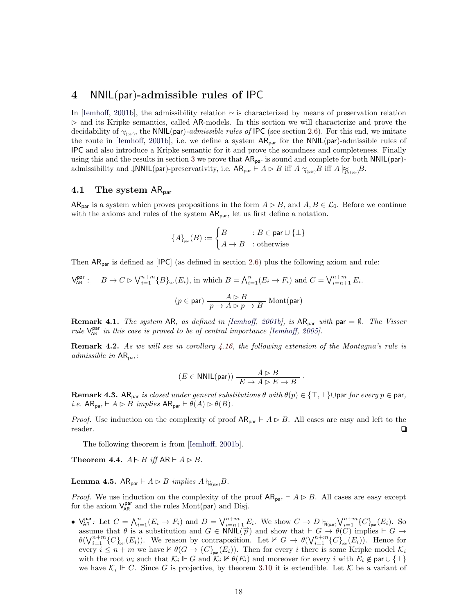# <span id="page-17-0"></span>4 NNIL(par)-admissible rules of IPC

In [\[Iemhoff,](#page-28-3) [2001b\]](#page-28-3), the admissibility relation ∼ is characterized by means of preservation relation  $\triangleright$  and its Kripke semantics, called AR-models. In this section we will characterize and prove the decidability of  $\gamma_{N(par)}$ , the NNIL(par)-admissible rules of IPC (see section [2.6\)](#page-3-2). For this end, we imitate the route in [\[Iemhoff,](#page-28-3) [2001b\]](#page-28-3), i.e. we define a system  $AR_{par}$  for the NNIL(par)-admissible rules of IPC and also introduce a Kripke semantic for it and prove the soundness and completeness. Finally using this and the results in section [3](#page-6-0) we prove that  $AR_{par}$  is sound and complete for both NNIL(par)admissibility and  $\downarrow$ NNIL(par)-preservativity, i.e.  $AR_{par} \vdash A \rhd B$  iff  $A \rvert_{\widetilde{N}(par)} B$  iff  $A \rvert_{\widetilde{N}(par)} B$ .

### <span id="page-17-1"></span>4.1 The system AR<sub>par</sub>

 $AR_{par}$  is a system which proves propositions in the form  $A \triangleright B$ , and  $A, B \in \mathcal{L}_0$ . Before we continue with the axioms and rules of the system  $AR_{par}$ , let us first define a notation.

$$
\{A\}_{\text{par}}(B) := \begin{cases} B & : B \in \text{par} \cup \{\perp\} \\ A \to B & : \text{otherwise} \end{cases}
$$

Then  $AR_{par}$  is defined as [IPC] (as defined in section [2.6\)](#page-3-2) plus the following axiom and rule:

$$
\mathsf{V}_{\mathsf{AR}}^{\mathsf{par}}: \quad B \to C \rhd \mathsf{V}_{i=1}^{n+m} \{B\}_{\mathsf{par}}(E_i), \text{ in which } B = \bigwedge_{i=1}^n (E_i \to F_i) \text{ and } C = \bigvee_{i=n+1}^{n+m} E_i.
$$
\n
$$
(p \in \mathsf{par}) \xrightarrow[p \to A \rhd p \to B]{} \mathsf{Mont}(\mathsf{par})
$$

**Remark 4.1.** The system AR, as defined in [\[Iemhoff,](#page-28-3) [2001b\]](#page-28-3), is  $AR_{par}$  with par  $=\emptyset$ . The Visser rule  $V_{AR}^{par}$  in this case is proved to be of central importance [\[Iemhoff,](#page-28-18) [2005\]](#page-28-18).

Remark 4.2. As we will see in corollary [4.16,](#page-23-1) the following extension of the Montagna's rule is admissible in  $AR_{par}$ :

$$
(E \in \mathsf{NNIL}(\mathsf{par})) \xrightarrow{A \vartriangleright B} \frac{A \vartriangleright B}{E \to A \vartriangleright E \to B}.
$$

**Remark 4.3.** AR<sub>par</sub> is closed under general substitutions  $\theta$  with  $\theta(p) \in \{\top, \bot\} \cup$  par for every  $p \in$  par, i.e.  $AR_{par} \vdash A \rhd B$  implies  $AR_{par} \vdash \theta(A) \rhd \theta(B)$ .

*Proof.* Use induction on the complexity of proof  $AR_{par} \vdash A \rhd B$ . All cases are easy and left to the reader.  $\Box$ 

The following theorem is from [\[Iemhoff,](#page-28-3) [2001b\]](#page-28-3).

**Theorem 4.4.**  $A \vdash B$  *iff*  $AR \vdash A \rhd B$ .

<span id="page-17-2"></span>**Lemma 4.5.** AR<sub>par</sub>  $\vdash A \rhd B$  *implies*  $A \rvert_{\mathcal{N}(\mathsf{par})} B$ .

*Proof.* We use induction on the complexity of the proof  $AR_{par} \vdash A \rhd B$ . All cases are easy except for the axiom  $V_{AR}^{par}$  and the rules Mont(par) and Disj.

•  $\bigvee_{\mathsf{AR}}^{\mathsf{par}}$ : Let  $C = \bigwedge_{i=1}^n (E_i \to F_i)$  and  $D = \bigvee_{i=n+1}^{n+m} E_i$ . We show  $C \to D \bigvee_{\mathsf{N}(\mathsf{par})}^{\mathsf{par}} \bigvee_{i=1}^{n+m} \{C\}_{\mathsf{par}}(E_i)$ . So  $\mathsf{v}_{\mathsf{AR}}$ . Let  $\mathcal{O} = \bigwedge_{i=1}^{i=1} (L_i \cap T_i)$  and  $B = \mathsf{v}_{i=n+1} \cup T_i$ . We show  $\mathcal{O} \cap B \cap_{\mathsf{N}(\mathsf{par})} \mathsf{v}_{i=1} \cup \mathsf{V}_{\mathsf{par}} \cup T_i$ . So  $\theta(\bigvee_{i=1}^{n+m} \{C\}_{\text{par}}(E_i))$ . We reason by contraposition. Let  $\nvdash G \to \theta(\bigvee_{i=1}^{n+m} \{C\}_{\text{par}}(E_i))$ . Hence for every  $i \leq n+m$  we have  $\nvdash \theta(G \to \{C\}_{\text{par}}(E_i))$ . Then for every i there is some Kripke model  $\mathcal{K}_i$ with the root  $w_i$  such that  $\mathcal{K}_i \Vdash G$  and  $\mathcal{K}_i \nvDash \theta(E_i)$  and moreover for every i with  $E_i \not\in \text{par} \cup \{\perp\}$ we have  $\mathcal{K}_i \Vdash C$ . Since G is projective, by theorem [3.10](#page-9-1) it is extendible. Let K be a variant of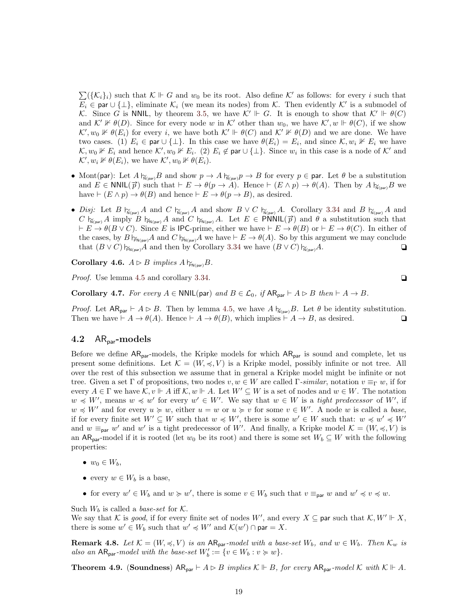$\sum({\{\mathcal{K}_i\}}_i)$  such that  $\mathcal{K} \Vdash G$  and  $w_0$  be its root. Also define  $\mathcal{K}'$  as follows: for every i such that  $E_i \in \text{par} \cup \{\perp\},\$ eliminate  $\mathcal{K}_i$  (we mean its nodes) from  $\mathcal{K}$ . Then evidently  $\mathcal{K}'$  is a submodel of K. Since G is NNIL, by theorem [3.5,](#page-8-1) we have  $\mathcal{K}' \Vdash G$ . It is enough to show that  $\mathcal{K}' \Vdash \theta(C)$ and  $\mathcal{K}' \not\Vdash \theta(D)$ . Since for every node w in  $\mathcal{K}'$  other than  $w_0$ , we have  $\mathcal{K}', w \Vdash \theta(C)$ , if we show  $\mathcal{K}', w_0 \nVdash \theta(E_i)$  for every i, we have both  $\mathcal{K}' \Vdash \theta(C)$  and  $\mathcal{K}' \nvDash \theta(D)$  and we are done. We have two cases. (1)  $E_i \in \text{par} \cup \{\perp\}$ . In this case we have  $\theta(E_i) = E_i$ , and since  $\mathcal{K}, w_i \not\vdash E_i$  we have  $\mathcal{K}, w_0 \nVdash E_i$  and hence  $\mathcal{K}', w_0 \nVdash E_i$ . (2)  $E_i \notin \text{par} \cup \{\perp\}$ . Since  $w_i$  in this case is a node of  $\mathcal{K}'$  and  $\mathcal{K}', w_i \nVdash \theta(E_i)$ , we have  $\mathcal{K}', w_0 \nVdash \theta(E_i)$ .

- Mont(par): Let  $A \upharpoonright_{\widetilde{N}(par)} B$  and show  $p \to A \upharpoonright_{\widetilde{N}(par)} p \to B$  for every  $p \in par$ . Let  $\theta$  be a substitution and  $E \in \text{NNIL}(\vec{p})$  such that  $\vdash E \rightarrow \theta(p \rightarrow A)$ . Hence  $\vdash (E \wedge p) \rightarrow \theta(A)$ . Then by  $A \upharpoonright_{\text{N(par)}} B$  we have  $\vdash (E \land p) \to \theta(B)$  and hence  $\vdash E \to \theta(p \to B)$ , as desired.
- Disj: Let B  $\vdash_{N_{(par)}} A$  and C  $\vdash_{N_{(par)}} A$  and show  $B \vee C \vdash_{N_{(par)}} A$ . Corollary [3.34](#page-16-3) and B  $\vdash_{N_{(par)}} A$  and  $C \nightharpoonup_{N(\text{par})}^{\sim} A$  imply  $B \nightharpoonup_{N(\text{par})}^{\sim} A$  and  $C \nightharpoonup_{N(\text{par})}^{\sim} A$ . Let  $E \in \text{PNNIL}(\vec{p})$  and  $\theta$  a substitution such that  $\vdash E \to \theta(B \vee C)$ . Since E is IPC-prime, either we have  $\vdash E \to \theta(B)$  or  $\vdash E \to \theta(C)$ . In either of the cases, by  $B \rvert_{\widetilde{\mathsf{P}}_{\mathsf{N}(\mathsf{par})}} A$  and  $C \rvert_{\widetilde{\mathsf{P}}_{\mathsf{N}(\mathsf{par})}} A$  we have  $\vdash E \to \theta(A)$ . So by this argument we may conclude that  $(B \vee C) \nvDash_{\mathsf{N}(\mathsf{par})} A$  and then by Corollary [3.34](#page-16-3) we have  $(B \vee C) \nvDash_{\mathsf{N}(\mathsf{par})} A$ .  $\Box$

Corollary 4.6.  $A \triangleright B$  implies  $A \models_{\text{PN(Dar)}} B$ .

*Proof.* Use lemma [4.5](#page-17-2) and corollary [3.34.](#page-16-3)  $\Box$ 

<span id="page-18-1"></span>**Corollary 4.7.** For every  $A \in \text{NNIL}$  (par) and  $B \in \mathcal{L}_0$ , if  $AR_{\text{par}} \vdash A \rhd B$  then  $\vdash A \rightarrow B$ .

*Proof.* Let  $AR_{par} \vdash A \rhd B$ . Then by lemma [4.5,](#page-17-2) we have  $A \rvert_{\mathcal{N}(par)} B$ . Let  $\theta$  be identity substitution. Then we have  $\vdash A \to \theta(A)$ . Hence  $\vdash A \to \theta(B)$ , which implies  $\vdash A \to B$ , as desired.

#### <span id="page-18-0"></span>4.2  $AR<sub>par</sub>$ -models

Before we define  $AR_{par}$ -models, the Kripke models for which  $AR_{par}$  is sound and complete, let us present some definitions. Let  $\mathcal{K} = (W, \preccurlyeq, V)$  is a Kripke model, possibly infinite or not tree. All over the rest of this subsection we assume that in general a Kripke model might be infinite or not tree. Given a set Γ of propositions, two nodes  $v, w \in W$  are called Γ-similar, notation  $v \equiv_{\Gamma} w$ , if for every  $A \in \Gamma$  we have  $\mathcal{K}, v \Vdash A$  iff  $\mathcal{K}, w \Vdash A$ . Let  $W' \subseteq W$  is a set of nodes and  $w \in W$ . The notation  $w \preccurlyeq W'$ , means  $w \preccurlyeq w'$  for every  $w' \in W'$ . We say that  $w \in W$  is a *tight predecessor* of W', if  $w \preccurlyeq W'$  and for every  $u \succcurlyeq w$ , either  $u = w$  or  $u \succcurlyeq v$  for some  $v \in W'$ . A node w is called a base, if for every finite set  $W' \subseteq W$  such that  $w \preccurlyeq W'$ , there is some  $w' \in W$  such that:  $w \preccurlyeq w' \preccurlyeq W'$ and  $w \equiv_{\text{par}} w'$  and  $w'$  is a tight predecessor of W'. And finally, a Kripke model  $\mathcal{K} = (W, \preccurlyeq, V)$  is an AR<sub>par</sub>-model if it is rooted (let  $w_0$  be its root) and there is some set  $W_b \subseteq W$  with the following properties:

- $w_0 \in W_h$ ,
- every  $w \in W_b$  is a base,
- for every  $w' \in W_b$  and  $w \succcurlyeq w'$ , there is some  $v \in W_b$  such that  $v \equiv_{\text{par}} w$  and  $w' \preccurlyeq v \preccurlyeq w$ .

Such  $W_b$  is called a *base-set* for  $K$ .

We say that K is good, if for every finite set of nodes W', and every  $X \subseteq$  par such that  $\mathcal{K}, W' \Vdash X$ , there is some  $w' \in W_b$  such that  $w' \preccurlyeq W'$  and  $\mathcal{K}(w') \cap \text{par} = X$ .

**Remark 4.8.** Let  $\mathcal{K} = (W, \preccurlyeq, V)$  is an  $AR_{\text{par}}$ -model with a base-set  $W_b$ , and  $w \in W_b$ . Then  $\mathcal{K}_w$  is also an  $AR_{par}$ -model with the base-set  $W'_b := \{v \in W_b : v \succcurlyeq w\}.$ 

**Theorem 4.9.** (Soundness)  $AR_{par} \vdash A \rhd B$  implies  $K \Vdash B$ , for every  $AR_{par}$ -model K with  $K \Vdash A$ .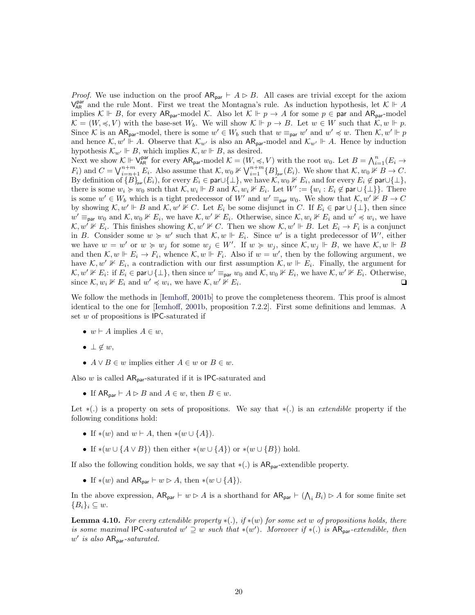*Proof.* We use induction on the proof  $AR_{par} \vdash A \rhd B$ . All cases are trivial except for the axiom  $V_{AR}^{par}$  and the rule Mont. First we treat the Montagna's rule. As induction hypothesis, let  $K \Vdash A$ implies  $\mathcal{K} \Vdash B$ , for every  $AR_{par}$ -model  $\mathcal{K}$ . Also let  $\mathcal{K} \Vdash p \to A$  for some  $p \in par$  and  $AR_{par}$ -model  $\mathcal{K} = (W, \preccurlyeq, V)$  with the base-set  $W_b$ . We will show  $\mathcal{K} \Vdash p \to B$ . Let  $w \in W$  such that  $\mathcal{K}, w \Vdash p$ . Since K is an AR<sub>par</sub>-model, there is some  $w' \in W_b$  such that  $w \equiv_{\text{par}} w'$  and  $w' \preccurlyeq w$ . Then K,  $w' \Vdash p$ and hence  $\mathcal{K}, w' \Vdash A$ . Observe that  $\mathcal{K}_{w'}$  is also an AR<sub>par</sub>-model and  $\mathcal{K}_{w'} \Vdash A$ . Hence by induction hypothesis  $\mathcal{K}_{w'} \Vdash B$ , which implies  $\mathcal{K}, w \Vdash B$ , as desired.

Next we show  $\mathcal{K} \Vdash \mathsf{V}^{\mathsf{par}}_{\mathsf{AR}}$  for every  $\mathsf{AR}_{\mathsf{par}}$ -model  $\mathcal{K} = (W, \preccurlyeq, V)$  with the root  $w_0$ . Let  $B = \bigwedge_{i=1}^n (E_i \to V_i)$  $(F_i)$  and  $C = \bigvee_{i=n+1}^{n+m} E_i$ . Also assume that  $\mathcal{K}, w_0 \not\V \bigvee_{i=1}^{n+m} \{B\}_{\text{par}}(E_i)$ . We show that  $\mathcal{K}, w_0 \not\V F \to C$ . By definition of  $\overline{\{B\}}_{par}(E_i)$ , for every  $E_i \in \text{par}\cup\{\perp\}$ , we have  $\mathcal{K}, w_0 \nVdash E_i$ , and for every  $E_i \notin \text{par}\cup\{\perp\}$ , there is some  $w_i \succcurlyeq w_0$  such that  $\mathcal{K}, w_i \Vdash B$  and  $\mathcal{K}, w_i \nvDash E_i$ . Let  $W' := \{w_i : E_i \not\in \text{par} \cup \{\bot\}\}\.$  There is some  $w' \in W_b$  which is a tight predecessor of W' and  $w' \equiv_{\text{par}} w_0$ . We show that  $\mathcal{K}, w' \not\vdash B \to C$ by showing  $\mathcal{K}, w' \Vdash B$  and  $\mathcal{K}, w' \nvDash C$ . Let  $E_i$  be some disjunct in C. If  $E_i \in \text{par} \cup \{\perp\}$ , then since  $w' \equiv_{\text{par}} w_0$  and  $\mathcal{K}, w_0 \nVdash E_i$ , we have  $\mathcal{K}, w' \nVdash E_i$ . Otherwise, since  $\mathcal{K}, w_i \nVdash E_i$  and  $w' \preccurlyeq w_i$ , we have  $\mathcal{K}, w' \nVdash E_i$ . This finishes showing  $\mathcal{K}, w' \nVdash C$ . Then we show  $\mathcal{K}, w' \Vdash B$ . Let  $E_i \to F_i$  is a conjunct in B. Consider some  $w \geq w'$  such that  $\mathcal{K}, w \Vdash E_i$ . Since w' is a tight predecessor of W', either we have  $w = w'$  or  $w \geq w_j$  for some  $w_j \in W'$ . If  $w \geq w_j$ , since  $\mathcal{K}, w_j \Vdash B$ , we have  $\mathcal{K}, w \Vdash B$ and then  $\mathcal{K}, w \Vdash E_i \to F_i$ , whence  $\mathcal{K}, w \Vdash F_i$ . Also if  $w = w'$ , then by the following argument, we have  $\mathcal{K}, w' \not\vDash E_i$ , a contradiction with our first assumption  $\mathcal{K}, w \Vdash E_i$ . Finally, the argument for  $\mathcal{K}, w' \nVdash E_i$ : if  $E_i$  ∈ par ∪{ $\perp$ }, then since  $w' \equiv_{\text{par}} w_0$  and  $\mathcal{K}, w_0 \nVdash E_i$ , we have  $\mathcal{K}, w' \nVdash E_i$ . Otherwise, since  $\mathcal{K}, w_i \nVdash E_i$  and  $w' \preccurlyeq w_i$ , we have  $\mathcal{K}, w' \nVdash E_i$ .  $\Box$ 

We follow the methods in [\[Iemhoff,](#page-28-3) [2001b\]](#page-28-3) to prove the completeness theorem. This proof is almost identical to the one for [\[Iemhoff,](#page-28-3) [2001b,](#page-28-3) proposition 7.2.2]. First some definitions and lemmas. A set  $w$  of propositions is IPC-saturated if

- $w \vdash A$  implies  $A \in w$ ,
- $\bullet \perp \notin w$ ,
- $A \vee B \in w$  implies either  $A \in w$  or  $B \in w$ .

Also  $w$  is called  $AR_{par}$ -saturated if it is IPC-saturated and

• If  $AR_{par} \vdash A \triangleright B$  and  $A \in w$ , then  $B \in w$ .

Let  $*(.)$  is a property on sets of propositions. We say that  $*(.)$  is an *extendible* property if the following conditions hold:

- If  $*(w)$  and  $w \vdash A$ , then  $*(w \cup \{A\})$ .
- If \* $(w \cup \{A \vee B\})$  then either \* $(w \cup \{A\})$  or \* $(w \cup \{B\})$  hold.

If also the following condition holds, we say that  $\ast(.)$  is  $AR_{par}$ -extendible property.

• If  $*(w)$  and  $AR_{par} \vdash w \triangleright A$ , then  $*(w \cup \{A\})$ .

In the above expression,  $AR_{par} \vdash w \triangleright A$  is a shorthand for  $AR_{par} \vdash (\bigwedge_i B_i) \triangleright A$  for some finite set  ${B_i}_i \subseteq w$ .

<span id="page-19-0"></span>**Lemma 4.10.** For every extendible property  $*(.)$ , if  $*(w)$  for some set w of propositions holds, there is some maximal IPC-saturated  $w' \supseteq w$  such that \*(w'). Moreover if \*(.) is  $AR_{par}\text{-}extendible$ , then  $w'$  is also  $AR_{par}$ -saturated.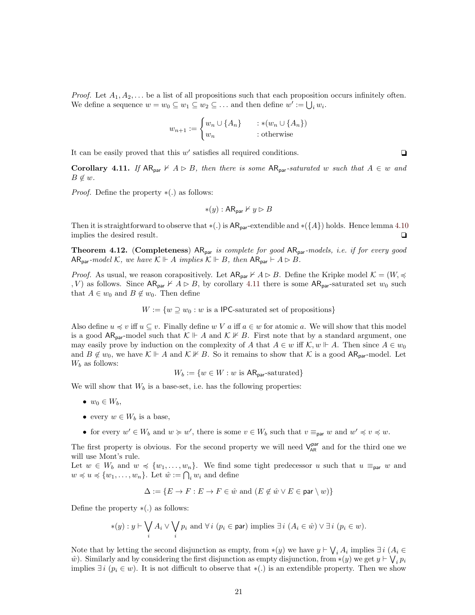*Proof.* Let  $A_1, A_2, \ldots$  be a list of all propositions such that each proposition occurs infinitely often. We define a sequence  $w = w_0 \subseteq w_1 \subseteq w_2 \subseteq \ldots$  and then define  $w' := \bigcup_i w_i$ .

$$
w_{n+1} := \begin{cases} w_n \cup \{A_n\} & : \ast(w_n \cup \{A_n\}) \\ w_n & : \text{otherwise} \end{cases}
$$

It can be easily proved that this  $w'$  satisfies all required conditions.  $\Box$ 

<span id="page-20-0"></span>Corollary 4.11. If  $AR_{par} \nvdash A \rhd B$ , then there is some  $AR_{par}$ -saturated w such that  $A \in w$  and  $B \notin w$ .

*Proof.* Define the property  $*(.)$  as follows:

$$
\ast(y): \mathsf{AR}_{\mathsf{par}} \nvdash y \rhd B
$$

Then it is straightforward to observe that  $*(.)$  is  $AR_{par}$ -extendible and  $*(\lbrace A \rbrace)$  holds. Hence lemma [4.10](#page-19-0) implies the desired result.  $\Box$ 

<span id="page-20-1"></span>**Theorem 4.12.** (Completeness)  $AR_{par}$  is complete for good  $AR_{par}$ -models, i.e. if for every good AR<sub>par</sub>-model K, we have  $K \Vdash A$  implies  $K \Vdash B$ , then  $AR_{par} \vdash A \rhd B$ .

*Proof.* As usual, we reason corapositively. Let  $AR_{par} \nvdash A \rhd B$ . Define the Kripke model  $\mathcal{K} = (W, \preccurlyeq A)$ , V) as follows. Since  $AR_{par} \nvdash A \rhd B$ , by corollary [4.11](#page-20-0) there is some  $AR_{par}$ -saturated set  $w_0$  such that  $A \in w_0$  and  $B \notin w_0$ . Then define

 $W := \{w \supset w_0 : w \text{ is a IPC-saturated set of propositions}\}\$ 

Also define  $u \preccurlyeq v$  iff  $u \subseteq v$ . Finally define w V a iff  $a \in w$  for atomic a. We will show that this model is a good  $AR_{par}$ -model such that  $\mathcal{K} \Vdash A$  and  $\mathcal{K} \nvDash B$ . First note that by a standard argument, one may easily prove by induction on the complexity of A that  $A \in w$  iff  $\mathcal{K}, w \Vdash A$ . Then since  $A \in w_0$ and  $B \notin w_0$ , we have  $\mathcal{K} \Vdash A$  and  $\mathcal{K} \nvDash B$ . So it remains to show that  $\mathcal{K}$  is a good AR<sub>par</sub>-model. Let  $W_b$  as follows:

$$
W_b := \{ w \in W : w \text{ is AR}_{\text{par}}\text{-saturated} \}
$$

We will show that  $W_b$  is a base-set, i.e. has the following properties:

- $w_0 \in W_b$ ,
- every  $w \in W_b$  is a base,
- for every  $w' \in W_b$  and  $w \succcurlyeq w'$ , there is some  $v \in W_b$  such that  $v \equiv_{\text{par}} w$  and  $w' \preccurlyeq v \preccurlyeq w$ .

The first property is obvious. For the second property we will need  $V_{AR}^{par}$  and for the third one we will use Mont's rule.

Let  $w \in W_b$  and  $w \preccurlyeq \{w_1, \ldots, w_n\}$ . We find some tight predecessor u such that  $u \equiv_{\text{par}} w$  and  $w \preccurlyeq u \preccurlyeq \{w_1, \ldots, w_n\}$ . Let  $\hat{w} := \bigcap_i w_i$  and define

$$
\Delta := \{ E \to F : E \to F \in \hat{w} \text{ and } (E \notin \hat{w} \lor E \in \text{par} \setminus w) \}
$$

Define the property  $*(.)$  as follows:

$$
*(y) : y \vdash \bigvee_i A_i \vee \bigvee_i p_i \text{ and } \forall i \ (p_i \in \text{par}) \text{ implies } \exists i \ (A_i \in \hat{w}) \vee \exists i \ (p_i \in w).
$$

Note that by letting the second disjunction as empty, from  $*(y)$  we have  $y \vdash \bigvee_i A_i$  implies  $\exists i$  ( $A_i \in$  $\hat{w}$ ). Similarly and by considering the first disjunction as empty disjunction, from \*(y) we get  $y \vdash \bigvee_i p_i$ implies  $\exists i \ (p_i \in w)$ . It is not difficult to observe that  $\ast(.)$  is an extendible property. Then we show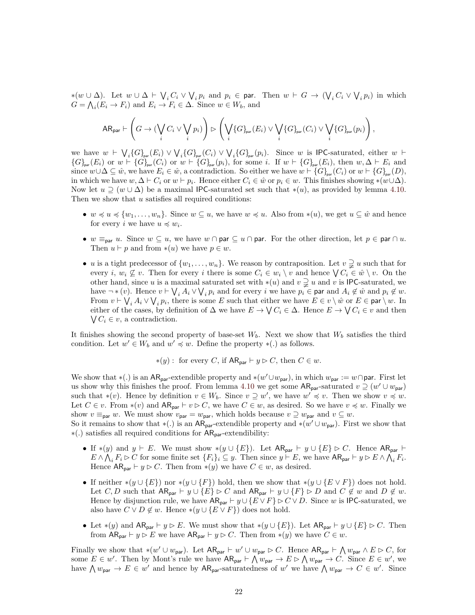\*(w ∪ ∆). Let  $w \cup \Delta \vdash \bigvee_i C_i \vee \bigvee_i p_i$  and  $p_i \in \text{par}$ . Then  $w \vdash G \rightarrow (\bigvee_i C_i \vee \bigvee_i p_i)$  in which  $G = \bigwedge_i (E_i \to F_i)$  and  $E_i \to F_i \in \Delta$ . Since  $w \in W_b$ , and

$$
\mathsf{AR}_{\mathsf{par}} \vdash \left(G \to (\bigvee_i C_i \vee \bigvee_i p_i) \right) \rhd \left(\bigvee_i \{G\}_{\mathsf{par}}(E_i) \vee \bigvee_i \{G\}_{\mathsf{par}}(C_i) \vee \bigvee_i \{G\}_{\mathsf{par}}(p_i) \right),
$$

we have  $w \vdash \bigvee_i \{G\}_{\text{par}}(E_i) \vee \bigvee_i \{G\}_{\text{par}}(C_i) \vee \bigvee_i \{G\}_{\text{par}}(p_i)$ . Since w is IPC-saturated, either  $w \vdash$  ${G}_{\text{par}}(E_i)$  or  $w \vdash {G}_{\text{par}}(C_i)$  or  $w \vdash {G}_{\text{par}}(p_i)$ , for some i. If  $w \vdash {G}_{\text{par}}(E_i)$ , then  $w, \Delta \vdash E_i$  and since  $w\cup\Delta\subseteq \hat{w}$ , we have  $E_i\in \hat{w}$ , a contradiction. So either we have  $w\vdash {\{G\}}_{\text{par}}(C_i)$  or  $w\vdash {\{G\}}_{\text{par}}(D)$ , in which we have  $w, \Delta \vdash C_i$  or  $w \vdash p_i$ . Hence either  $C_i \in \hat{w}$  or  $p_i \in w$ . This finishes showing \*( $w \cup \Delta$ ). Now let  $u \supseteq (w \cup \Delta)$  be a maximal IPC-saturated set such that \*(u), as provided by lemma [4.10.](#page-19-0) Then we show that u satisfies all required conditions:

- $w \preccurlyeq u \preccurlyeq \{w_1, \ldots, w_n\}$ . Since  $w \subseteq u$ , we have  $w \preccurlyeq u$ . Also from  $*(u)$ , we get  $u \subseteq \hat{w}$  and hence for every *i* we have  $u \preccurlyeq w_i$ .
- w  $\equiv_{\text{par}} u$ . Since  $w \subseteq u$ , we have  $w \cap \text{par} \subseteq u \cap \text{par}$ . For the other direction, let  $p \in \text{par} \cap u$ . Then  $u \vdash p$  and from  $*(u)$  we have  $p \in w$ .
- u is a tight predecessor of  $\{w_1, \ldots, w_n\}$ . We reason by contraposition. Let  $v \supsetneq u$  such that for every *i*,  $w_i \nsubseteq v$ . Then for every *i* there is some  $C_i \in w_i \setminus v$  and hence  $\bigvee C_i \in \hat{w} \setminus v$ . On the other hand, since u is a maximal saturated set with  $*(u)$  and  $v \supsetneq u$  and v is IPC-saturated, we have  $\neg*(v)$ . Hence  $v \vdash \bigvee_i A_i \vee \bigvee_i p_i$  and for every  $i$  we have  $p_i \in \text{par}$  and  $A_i \notin \hat{w}$  and  $p_i \notin w$ . From  $v \vdash \bigvee_i A_i \vee \bigvee_i p_i$ , there is some E such that either we have  $E \in v \setminus \hat{w}$  or  $E \in \mathsf{par} \setminus w$ . In either of the cases, by definition of  $\Delta$  we have  $E \to \bigvee C_i \in \Delta$ . Hence  $E \to \bigvee C_i \in v$  and then  $\bigvee C_i \in v$ , a contradiction.

It finishes showing the second property of base-set  $W_b$ . Next we show that  $W_b$  satisfies the third condition. Let  $w' \in W_b$  and  $w' \preccurlyeq w$ . Define the property  $*(.)$  as follows.

$$
\ast(y)
$$
: for every C, if AR<sub>par</sub>  $\vdash y \triangleright C$ , then  $C \in w$ .

We show that  $*(.)$  is an AR<sub>par</sub>-extendible property and  $*(w' \cup w_{\text{par}})$ , in which  $w_{\text{par}} := w \cap \text{par}$ . First let us show why this finishes the proof. From lemma [4.10](#page-19-0) we get some  $AR_{par}$ -saturated  $v \supseteq (w' \cup w_{par})$ such that  $*(v)$ . Hence by definition  $v \in W_b$ . Since  $v \supseteq w'$ , we have  $w' \preccurlyeq v$ . Then we show  $v \preccurlyeq w$ . Let  $C \in v$ . From \*(v) and  $AR_{par} \vdash v \triangleright C$ , we have  $C \in w$ , as desired. So we have  $v \preccurlyeq w$ . Finally we show  $v \equiv_{\text{par}} w$ . We must show  $v_{\text{par}} = w_{\text{par}}$ , which holds because  $v \supseteq w_{\text{par}}$  and  $v \subseteq w$ .

So it remains to show that  $*(.)$  is an AR<sub>par</sub>-extendible property and  $*(w' \cup w_{\text{par}})$ . First we show that ∗(.) satisfies all required conditions for ARpar-extendibility:

- If \*(y) and  $y \vdash E$ . We must show \*( $y \cup \{E\}$ ). Let  $AR_{par} \vdash y \cup \{E\} \rhd C$ . Hence  $AR_{par} \vdash$  $E \wedge \bigwedge_i F_i \triangleright C$  for some finite set  $\{F_i\}_i \subseteq y$ . Then since  $y \vdash E$ , we have  $AR_{par} \vdash y \triangleright E \wedge \bigwedge_i F_i$ . Hence  $AR_{par} \vdash y \triangleright C$ . Then from  $*(y)$  we have  $C \in w$ , as desired.
- If neither  $*(y \cup \{E\})$  nor  $*(y \cup \{F\})$  hold, then we show that  $*(y \cup \{E \vee F\})$  does not hold. Let  $C, D$  such that  $AR_{par} \vdash y \cup \{E\} \rhd C$  and  $AR_{par} \vdash y \cup \{F\} \rhd D$  and  $C \not\in w$  and  $D \not\in w$ . Hence by disjunction rule, we have  $AR_{par} \vdash y \cup \{E \lor F\} \rhd C \lor D$ . Since w is IPC-saturated, we also have  $C \vee D \notin w$ . Hence \* $(y \cup \{E \vee F\})$  does not hold.
- Let  $*(y)$  and  $AR_{par} \vdash y \triangleright E$ . We must show that  $*(y \cup \{E\})$ . Let  $AR_{par} \vdash y \cup \{E\} \triangleright C$ . Then from  $AR_{par} \vdash y \triangleright E$  we have  $AR_{par} \vdash y \triangleright C$ . Then from  $*(y)$  we have  $C \in w$ .

Finally we show that \* $(w' \cup w_{\text{par}})$ . Let  $AR_{\text{par}} \vdash w' \cup w_{\text{par}} \rhd C$ . Hence  $AR_{\text{par}} \vdash \bigwedge w_{\text{par}} \wedge E \rhd C$ , for some  $E \in w'$ . Then by Mont's rule we have  $AR_{par} \vdash \bigwedge w_{par} \to E \rhd \bigwedge w_{par} \to C$ . Since  $E \in w'$ , we have  $\bigwedge w_{\text{par}} \to E \in w'$  and hence by  $AR_{\text{par}}$ -saturatedness of w' we have  $\bigwedge w_{\text{par}} \to C \in w'$ . Since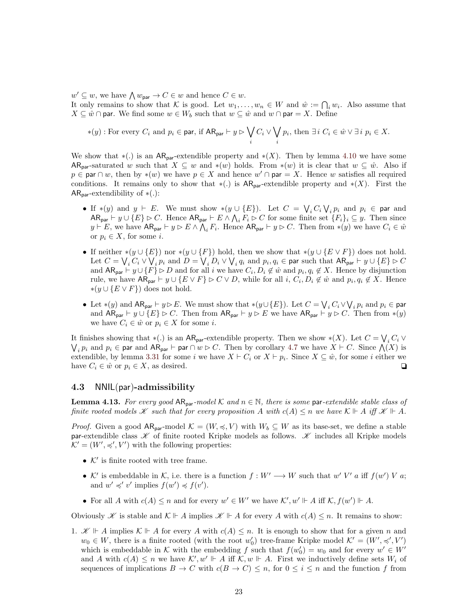$w' \subseteq w$ , we have  $\bigwedge w_{\text{par}} \to C \in w$  and hence  $C \in w$ .

It only remains to show that K is good. Let  $w_1, \ldots, w_n \in W$  and  $\hat{w} := \bigcap_i w_i$ . Also assume that  $X \subseteq \hat{w} \cap$  par. We find some  $w \in W_b$  such that  $w \subseteq \hat{w}$  and  $w \cap$  par  $X$ . Define

$$
*(y) : \text{For every } C_i \text{ and } p_i \in \text{par, if } AR_{\text{par}} \vdash y \rhd \bigvee_i C_i \vee \bigvee_i p_i \text{, then } \exists i \ C_i \in \hat{w} \vee \exists i \ p_i \in X.
$$

We show that  $*(.)$  is an  $AR_{par}$ -extendible property and  $*(X)$ . Then by lemma [4.10](#page-19-0) we have some AR<sub>par</sub>-saturated w such that  $X \subseteq w$  and \*(w) holds. From \*(w) it is clear that  $w \subseteq \hat{w}$ . Also if  $p \in \text{par} \cap w$ , then by \*(w) we have  $p \in X$  and hence  $w' \cap \text{par} = X$ . Hence w satisfies all required conditions. It remains only to show that  $*(.)$  is  $AR_{par}$ -extendible property and  $*(X)$ . First the  $AR_{par}$ -extendibility of  $*(.)$ :

- If  $*(y)$  and  $y \vdash E$ . We must show  $*(y \cup \{E\})$ . Let  $C = \bigvee_i C_i \bigvee_i p_i$  and  $p_i \in \text{par}$  and  $AR_{par} \vdash y \cup \{E\} \rhd C$ . Hence  $AR_{par} \vdash E \wedge \bigwedge_i F_i \rhd C$  for some finite set  $\{F_i\}_i \subseteq y$ . Then since  $y \vdash E$ , we have  $AR_{par} \vdash y \rhd E \wedge \bigwedge_i F_i$ . Hence  $AR_{par} \vdash y \rhd C$ . Then from \*(y) we have  $C_i \in \hat{w}$ or  $p_i \in X$ , for some *i*.
- If neither  $*(y \cup \{E\})$  nor  $*(y \cup \{F\})$  hold, then we show that  $*(y \cup \{E \vee F\})$  does not hold. Let  $C=\bigvee_i C_i\vee \bigvee_i p_i$  and  $D=\bigvee_i D_i\vee \bigvee_i q_i$  and  $p_i,q_i\in$  par such that  $\mathsf{AR_{par}}\vdash y\cup\{E\}\rhd C$ and  $AR_{par} \vdash y \cup \{F\} \triangleright D$  and for all i we have  $C_i, D_i \notin \hat{w}$  and  $p_i, q_i \notin X$ . Hence by disjunction rule, we have  $AR_{par} \vdash y \cup \{E \lor F\} \rhd C \lor D$ , while for all  $i, C_i, D_i \notin \hat{w}$  and  $p_i, q_i \notin X$ . Hence  $*(y \cup {E \vee F})$  does not hold.
- Let  $*(y)$  and  $AR_{par} \vdash y \rhd E$ . We must show that  $*(y \cup \{E\})$ . Let  $C = \bigvee_i C_i \vee \bigvee_i p_i$  and  $p_i \in \mathsf{par}$ and  $AR_{par} \vdash y \cup \{E\} \rhd C$ . Then from  $AR_{par} \vdash y \rhd E$  we have  $AR_{par} \vdash y \rhd C$ . Then from \*(y) we have  $C_i \in \hat{w}$  or  $p_i \in X$  for some *i*.

It finishes showing that \*(.) is an  $AR_{par}$ -extendible property. Then we show \*(X). Let  $C = \bigvee_i C_i \vee$  $\bigvee_i p_i$  and  $p_i \in \text{par}$  and  $AR_{\text{par}} \vdash \text{par} \cap w \rhd C$ . Then by corollary [4.7](#page-18-1) we have  $X \vdash C$ . Since  $\bigwedge(X)$  is extendible, by lemma [3.31](#page-16-0) for some i we have  $X \vdash C_i$  or  $X \vdash p_i$ . Since  $X \subseteq \hat{w}$ , for some i either we have  $C_i \in \hat{w}$  or  $p_i \in X$ , as desired.  $\Box$ 

#### <span id="page-22-0"></span>4.3 NNIL(par)-admissibility

<span id="page-22-1"></span>**Lemma 4.13.** For every good  $AR_{par}$ -model K and  $n \in \mathbb{N}$ , there is some par-extendible stable class of finite rooted models  $\mathscr K$  such that for every proposition A with  $c(A) \leq n$  we have  $\mathcal K \Vdash A$  iff  $\mathscr K \Vdash A$ .

*Proof.* Given a good  $AR_{par}$ -model  $K = (W, \preccurlyeq, V)$  with  $W_b \subseteq W$  as its base-set, we define a stable par-extendible class  $\mathscr K$  of finite rooted Kripke models as follows.  $\mathscr K$  includes all Kripke models  $K' = (W', \preccurlyeq', V')$  with the following properties:

- $\bullet$   $\mathcal{K}'$  is finite rooted with tree frame.
- K' is embeddable in K, i.e. there is a function  $f: W' \longrightarrow W$  such that  $w' V'$  a iff  $f(w') V a$ ; and  $w' \preccurlyeq' v'$  implies  $f(w') \preccurlyeq f(v')$ .
- For all A with  $c(A) \leq n$  and for every  $w' \in W'$  we have  $\mathcal{K}', w' \Vdash A$  iff  $\mathcal{K}, f(w') \Vdash A$ .

Obviously *X* is stable and  $\mathcal{K} \Vdash A$  implies  $\mathcal{K} \Vdash A$  for every A with  $c(A) \leq n$ . It remains to show:

1.  $\mathscr{K} \Vdash A$  implies  $\mathcal{K} \Vdash A$  for every A with  $c(A) \leq n$ . It is enough to show that for a given n and  $w_0 \in W$ , there is a finite rooted (with the root  $w'_0$ ) tree-frame Kripke model  $\mathcal{K}' = (W', \preccurlyeq', V')$ which is embeddable in K with the embedding f such that  $f(w_0') = w_0$  and for every  $w' \in W'$ and A with  $c(A) \leq n$  we have  $\mathcal{K}', w' \Vdash A$  iff  $\mathcal{K}, w \Vdash A$ . First we inductively define sets  $W_i$  of sequences of implications  $B \to C$  with  $c(B \to C) \leq n$ , for  $0 \leq i \leq n$  and the function f from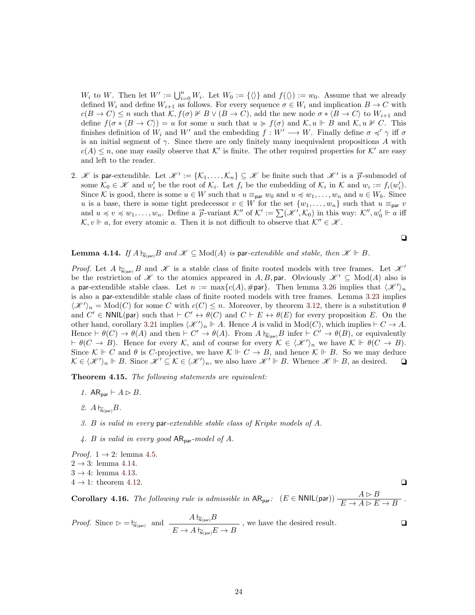$W_i$  to W. Then let  $W' := \bigcup_{i=0}^n W_i$ . Let  $W_0 := \{\langle\rangle\}$  and  $f(\langle\rangle) := w_0$ . Assume that we already defined  $W_i$  and define  $W_{i+1}$  as follows. For every sequence  $\sigma \in W_i$  and implication  $B \to C$  with  $c(B \to C) \leq n$  such that  $\mathcal{K}, f(\sigma) \not\vdash B \lor (B \to C)$ , add the new node  $\sigma * \langle B \to C \rangle$  to  $W_{i+1}$  and define  $f(\sigma * \langle B \to C \rangle) = u$  for some u such that  $u \ge f(\sigma)$  and  $\mathcal{K}, u \Vdash B$  and  $\mathcal{K}, u \nvDash C$ . This finishes definition of  $W_i$  and  $W'$  and the embedding  $f : W' \longrightarrow W$ . Finally define  $\sigma \preccurlyeq' \gamma$  iff  $\sigma$ is an initial segment of  $\gamma$ . Since there are only finitely many inequivalent propositions A with  $c(A) \leq n$ , one may easily observe that K' is finite. The other required properties for K' are easy and left to the reader.

2. K is par-extendible. Let  $\mathcal{K}' := \{K_1, \ldots, K_n\} \subseteq \mathcal{K}$  be finite such that  $\mathcal{K}'$  is a  $\vec{p}$ -submodel of some  $\mathcal{K}_0 \in \mathcal{K}$  and  $w'_i$  be the root of  $\mathcal{K}_i$ . Let  $f_i$  be the embedding of  $\mathcal{K}_i$  in  $\mathcal{K}$  and  $w_i := f_i(w'_i)$ . Since K is good, there is some  $u \in W$  such that  $u \equiv_{\text{par}} w_0$  and  $u \preccurlyeq w_1, \ldots, w_n$  and  $u \in W_b$ . Since u is a base, there is some tight predecessor  $v \in W$  for the set  $\{w_1, \ldots, w_n\}$  such that  $u \equiv_{\text{par}} v$ and  $u \preccurlyeq w_1, \ldots, w_n$ . Define a  $\vec{p}$ -variant  $\mathcal{K}''$  of  $\mathcal{K}' := \sum(\mathcal{K}', \mathcal{K}_0)$  in this way:  $\mathcal{K}'', w'_0 \Vdash a$  iff  $\mathcal{K}, v \Vdash a$ , for every atomic a. Then it is not difficult to observe that  $\mathcal{K}'' \in \mathcal{K}$ .

$$
\qquad \qquad \Box
$$

#### <span id="page-23-2"></span>**Lemma 4.14.** If  $A \nightharpoonup_{N(\text{can})} B$  and  $\mathscr{K} \subseteq \text{Mod}(A)$  is par-extendible and stable, then  $\mathscr{K} \Vdash B$ .

*Proof.* Let A  $\gamma_{N(\text{par})}$  B and K is a stable class of finite rooted models with tree frames. Let  $\mathcal{K}^{\prime}$ be the restriction of X to the atomics appeared in A, B, par. Obviously  $\mathscr{K}' \subseteq Mod(A)$  also is a par-extendible stable class. Let  $n := max\{c(A), \text{#par}\}\$ . Then lemma [3.26](#page-13-2) implies that  $\langle \mathcal{K}' \rangle_n$ is also a par-extendible stable class of finite rooted models with tree frames. Lemma [3.23](#page-12-4) implies  $\langle \mathcal{K}' \rangle_n = \text{Mod}(C)$  for some C with  $c(C) \leq n$ . Moreover, by theorem [3.12,](#page-10-1) there is a substitution  $\theta$ and  $C' \in \text{NNIL}(\text{par})$  such that  $\vdash C' \leftrightarrow \theta(C)$  and  $C \vdash E \leftrightarrow \theta(E)$  for every proposition E. On the other hand, corollary [3.21](#page-12-1) implies  $\langle \mathscr{K} \rangle_n \Vdash A$ . Hence A is valid in Mod(C), which implies  $\vdash C \to A$ . Hence  $\vdash \theta(C) \to \theta(A)$  and then  $\vdash C' \to \theta(A)$ . From  $A \upharpoonright_{N(\text{par})} B$  infer  $\vdash C' \to \theta(B)$ , or equivalently  $\vdash \theta(C \to B)$ . Hence for every K, and of course for every  $\mathcal{K} \in \langle \mathcal{K}' \rangle_n$  we have  $\mathcal{K} \Vdash \theta(C \to B)$ . Since  $\mathcal{K} \Vdash C$  and  $\theta$  is C-projective, we have  $\mathcal{K} \Vdash C \to B$ , and hence  $\mathcal{K} \Vdash B$ . So we may deduce  $\mathcal{K} \in \langle \mathcal{K}' \rangle_n \Vdash B$ . Since  $\mathcal{K}' \subseteq \mathcal{K} \in \langle \mathcal{K}' \rangle_n$ , we also have  $\mathcal{K}' \Vdash B$ . Whence  $\mathcal{K} \Vdash B$ , as desired.  $\Box$ 

<span id="page-23-0"></span>Theorem 4.15. The following statements are equivalent:

- 1. AR<sub>par</sub>  $\vdash A \rhd B$ .
- 2.  $A \, \mathsf{h}_{\mathsf{N}(\mathsf{par})} B$ .
- 3. B is valid in every par-extendible stable class of Kripke models of A.
- 4. B is valid in every good  $AR_{par}$ -model of A.

*Proof.*  $1 \rightarrow 2$ : lemma [4.5.](#page-17-2)  $2 \rightarrow 3$ : lemma [4.14.](#page-23-2)

- $3 \rightarrow 4$ : lemma [4.13.](#page-22-1)
- $4 \rightarrow 1$ : theorem [4.12.](#page-20-1)

<span id="page-23-1"></span>**Corollary 4.16.** The following rule is admissible in  $AR_{\text{par}}$ :  $(E \in \text{NNIL}(\text{par})) \frac{A \triangleright B}{E \to A \triangleright E \to B}$ .

*Proof.* Since 
$$
\triangleright = \bigtriangledown_{\mathsf{N}(\mathsf{par})}
$$
 and  $\frac{A \bigtriangledown_{\mathsf{N}(\mathsf{par})} B}{E \to A \bigtriangledown_{\mathsf{N}(\mathsf{par})} E \to B}$ , we have the desired result.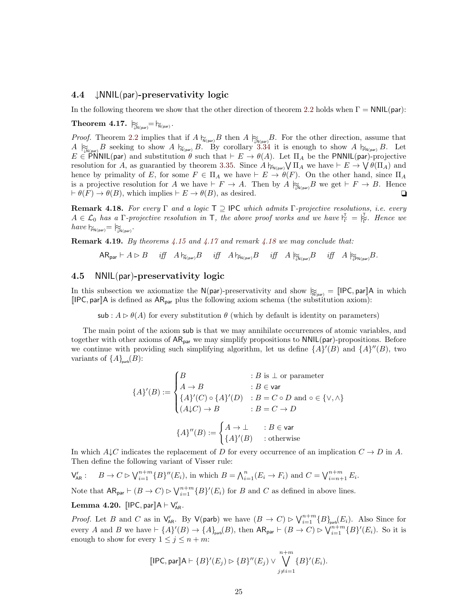#### <span id="page-24-0"></span>4.4 ↓NNIL(par)-preservativity logic

In the following theorem we show that the other direction of theorem [2.2](#page-4-0) holds when  $\Gamma = \text{NNIL}(\text{par})$ :

<span id="page-24-2"></span> $\text{Theorem 4.17.}\ \left.\right|_{\widetilde{\mathbb{W}}\left(\text{par}\right)}=\left.\right|_{\widetilde{\mathbb{N}}\left(\text{par}\right)}\text{.}$ 

*Proof.* Theorem [2.2](#page-4-0) implies that if  $A \not\vdash_{\widetilde{N}(par)} B$  then  $A \not\vdash_{\widetilde{N}(par)} B$ . For the other direction, assume that  $A \succeq_{\mathcal{N}(\text{par})} B$  seeking to show  $A \succeq_{\mathcal{N}(\text{par})} B$ . By corollary [3.34](#page-16-3) it is enough to show  $A \succeq_{\mathcal{N}(\text{par})} B$ . Let  $E \in \text{PNNIL(par)}$  and substitution  $\theta$  such that  $\vdash E \to \theta(A)$ . Let  $\Pi_A$  be the PNNIL(par)-projective resolution for A, as guarantied by theorem [3.35.](#page-16-4) Since  $A \vdash_{\mathsf{FN}(\mathsf{par})} \bigvee \Pi_A$  we have  $\vdash E \to \bigvee \theta(\Pi_A)$  and hence by primality of E, for some  $F \in \Pi_A$  we have  $\vdash E \to \theta(F)$ . On the other hand, since  $\Pi_A$ is a projective resolution for A we have  $\vdash F \to A$ . Then by  $A \not\approx_{N(\text{max})} B$  we get  $\vdash F \to B$ . Hence  $\vdash \theta(F) \to \theta(B)$ , which implies  $\vdash E \to \theta(B)$ , as desired.

<span id="page-24-3"></span>**Remark 4.18.** For every  $\Gamma$  and a logic  $\mathsf{T} \supseteq \mathsf{IPC}$  which admits  $\Gamma$ -projective resolutions, i.e. every  $A \in \mathcal{L}_0$  has a Γ-projective resolution in T, the above proof works and we have  $\substack{\Gamma \vdash \\ \Gamma} = \substack{\Gamma \vdash \\ \Gamma}$ . Hence we  $have \, \vDash_{\mathsf{PN}(\mathsf{par})} = \vDash_{\mathsf{LN}(\mathsf{par})}$ .

**Remark 4.19.** By theorems  $\frac{1}{4}$ .15 and  $\frac{1}{4}$ .17 and remark  $\frac{1}{4}$ .18 we may conclude that:

 $AR_{par} \vdash A \rhd B$  iff  $A \rhd_{N(par)} B$  iff  $A \rhd_{N(par)} B$  iff  $A \rhd_{N(par)} B$  iff  $A \rhd_{N(par)} B$ .

### <span id="page-24-1"></span>4.5 NNIL(par)-preservativity logic

In this subsection we axiomatize the N(par)-preservativity and show  $\mathbb{R}_{\text{Npar}} = \llbracket \text{IPC}, \text{par} \rrbracket A$  in which  $[IPC, par]A$  is defined as  $AR_{par}$  plus the following axiom schema (the substitution axiom):

sub :  $A \triangleright \theta(A)$  for every substitution  $\theta$  (which by default is identity on parameters)

The main point of the axiom sub is that we may annihilate occurrences of atomic variables, and together with other axioms of  $AR_{par}$  we may simplify propositions to  $NNIL(par)$ -propositions. Before we continue with providing such simplifying algorithm, let us define  $\{A\}'(B)$  and  $\{A\}''(B)$ , two variants of  $\{A\}_{\text{parb}}(B)$ :

$$
\{A\}'(B) := \begin{cases} B & : B \text{ is } \perp \text{ or parameter} \\ A \to B & : B \in \text{var} \\ \{A\}'(C) \circ \{A\}'(D) & : B = C \circ D \text{ and } \circ \in \{\vee, \wedge\} \\ (A \downarrow C) \to B & : B = C \to D \end{cases}
$$

$$
\{A\}''(B) := \begin{cases} A \to \perp & : B \in \text{var} \\ \{A\}'(B) & : \text{otherwise} \end{cases}
$$

In which  $A \downarrow C$  indicates the replacement of D for every occurrence of an implication  $C \to D$  in A. Then define the following variant of Visser rule:

 $\mathsf{V}_{\mathsf{AR}}': \quad B \to C \rhd \bigvee_{i=1}^{n+m} \{B\}''(E_i),$  in which  $B = \bigwedge_{i=1}^{n} (E_i \to F_i)$  and  $C = \bigvee_{i=n+1}^{n+m} E_i$ .

Note that  $AR_{par} \vdash (B \to C) \rhd \bigvee_{i=1}^{n+m} \{B\}'(E_i)$  for B and C as defined in above lines.

<span id="page-24-4"></span>Lemma 4.20.  $\llbracket$ IPC, par $\rrbracket$ A  $\vdash$  V<sub>AR</sub>.

*Proof.* Let B and C as in  $\mathsf{V}_{\mathsf{AR}}'$ . By  $\mathsf{V}(\mathsf{parb})$  we have  $(B \to C) \triangleright \mathsf{V}_{i=1}^{n+m} \{B\}_{\mathsf{parb}}(E_i)$ . Also Since for every A and B we have  $\vdash \{A\}'(B) \to \{A\}_{\text{path}}(B)$ , then  $AR_{\text{par}} \vdash (B \to C) \rhd \bigvee_{i=1}^{n+m} \{B\}'(E_i)$ . So it is enough to show for every  $1 \leq j \leq n+m$ :

$$
[IPC, par] A \vdash \{B\}'(E_j) \rhd \{B\}''(E_j) \vee \bigvee_{j \neq i=1}^{n+m} \{B\}'(E_i).
$$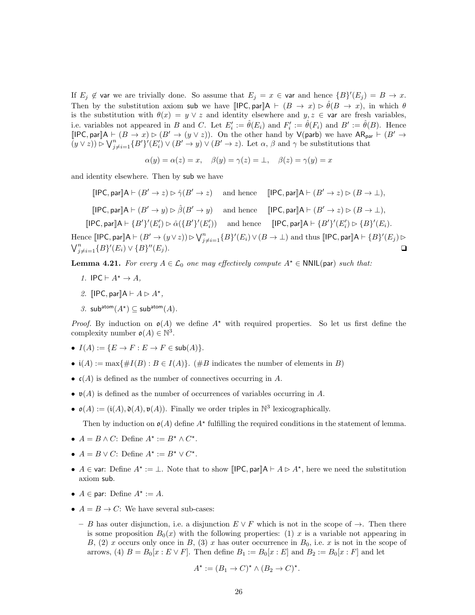If  $E_j \notin \mathsf{var}$  we are trivially done. So assume that  $E_j = x \in \mathsf{var}$  and hence  $\{B\}'(E_j) = B \to x$ . Then by the substitution axiom sub we have  $\text{[IPC}, \text{par} \text{]} \mathsf{A} \vdash (B \rightarrow x) \triangleright \hat{\theta}(B \rightarrow x)$ , in which  $\theta$ is the substitution with  $\theta(x) = y \vee z$  and identity elsewhere and  $y, z \in \mathsf{var}$  are fresh variables, i.e. variables not appeared in B and C. Let  $E_i' := \hat{\theta}(E_i)$  and  $F_i' := \hat{\theta}(F_i)$  and  $B' := \hat{\theta}(B)$ . Hence  $[IPC, par]A \vdash (B \to x) \rhd (B' \to (y \vee z))$ . On the other hand by  $V(parb)$  we have  $AR_{par} \vdash (B' \to b')$  $(y \vee z)$ )  $\triangleright \bigvee_{j \neq i=1}^{n} \{B'\}'(E'_i) \vee (B' \to y) \vee (B' \to z)$ . Let  $\alpha, \beta$  and  $\gamma$  be substitutions that

$$
\alpha(y) = \alpha(z) = x, \quad \beta(y) = \gamma(z) = \bot, \quad \beta(z) = \gamma(y) = x
$$

and identity elsewhere. Then by sub we have

 $[IPC, par]$  $A \vdash (B' \rightarrow z) \triangleright \hat{\gamma}(B' \rightarrow z)$  and hence  $[IPC, par]$  $A \vdash (B$  $[IPC, par]A \vdash (B' \rightarrow z) \triangleright (B \rightarrow \bot),$  $[IPC, par]$  $A \vdash (B' \rightarrow y) \triangleright \hat{\beta}(B' \rightarrow y)$  and hence  $[IPC, par]$  $A \vdash (B' \rightarrow z) \triangleright (B \rightarrow \bot),$  $[IPC, par]A \vdash {B'}' (E_i') \rhd \hat{\alpha}({B'}' (E_i'))$  and hence  $[IPC, par]A \vdash {B'}' (E_i') \rhd {B'} (E_i).$ Hence  $\llbracket \mathsf{IPC}, \mathsf{par} \rrbracket \mathsf{A} \vdash (B' \to (y \lor z)) \rhd \bigvee_{j \neq i=1}^n \{B\}'(E_i) \lor (B \to \bot) \text{ and thus } \llbracket \mathsf{IPC}, \mathsf{par} \rrbracket \mathsf{A} \vdash \{B\}'(E_j) \rhd$ 

 $\bigvee_{j\neq i=1}^n \{B\}'(E_i) \vee \{B\}$  $\mathcal{O}(E_j)$ .

<span id="page-25-0"></span>**Lemma 4.21.** For every  $A \in \mathcal{L}_0$  one may effectively compute  $A^* \in \text{NNIL(par)}$  such that:

- 1. IPC  $\vdash A^* \rightarrow A$ ,
- 2. [IPC, par] $A \vdash A \rhd A^*$ ,
- 3. sub<sup>atom</sup> $(A^{\star}) \subseteq \mathsf{sub}^{\mathsf{atom}}(A)$ .

*Proof.* By induction on  $\mathfrak{g}(A)$  we define  $A^*$  with required properties. So let us first define the complexity number  $\mathfrak{o}(A) \in \mathbb{N}^3$ .

- $I(A) := \{ E \to F : E \to F \in sub(A) \}.$
- $i(A) := \max\{\#I(B) : B \in I(A)\}\$ . (#B indicates the number of elements in B)
- $c(A)$  is defined as the number of connectives occurring in A.
- $\mathfrak{v}(A)$  is defined as the number of occurrences of variables occurring in A.
- $\mathfrak{o}(A) := (\mathfrak{i}(A), \mathfrak{d}(A), \mathfrak{v}(A))$ . Finally we order triples in  $\mathbb{N}^3$  lexicographically.

Then by induction on  $\mathfrak{o}(A)$  define  $A^*$  fulfilling the required conditions in the statement of lemma.

- $A = B \wedge C$ : Define  $A^* := B^* \wedge C^*$ .
- $A = B \vee C$ : Define  $A^* := B^* \vee C^*$ .
- $A \in \text{var}$ : Define  $A^* := \bot$ . Note that to show [IPC, par] $A \vdash A \rhd A^*$ , here we need the substitution axiom sub.
- $A \in \text{par: Define } A^* := A.$
- $A = B \rightarrow C$ : We have several sub-cases:
	- B has outer disjunction, i.e. a disjunction  $E \vee F$  which is not in the scope of  $\rightarrow$ . Then there is some proposition  $B_0(x)$  with the following properties: (1) x is a variable not appearing in B, (2) x occurs only once in B, (3) x has outer occurrence in  $B_0$ , i.e. x is not in the scope of arrows, (4)  $B = B_0[x : E \vee F]$ . Then define  $B_1 := B_0[x : E]$  and  $B_2 := B_0[x : F]$  and let

$$
A^* := (B_1 \to C)^* \land (B_2 \to C)^*.
$$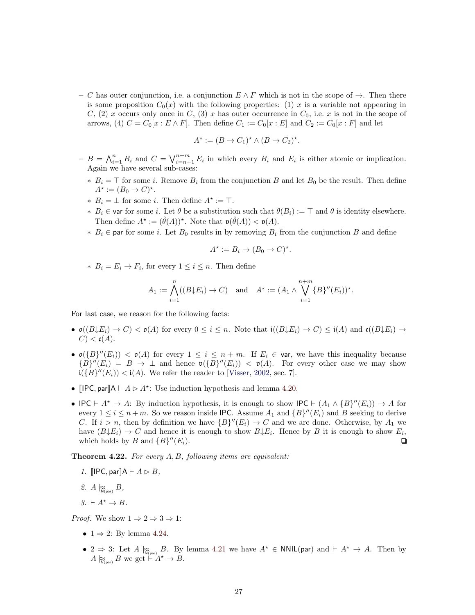– C has outer conjunction, i.e. a conjunction  $E \wedge F$  which is not in the scope of  $\rightarrow$ . Then there is some proposition  $C_0(x)$  with the following properties: (1) x is a variable not appearing in C, (2) x occurs only once in C, (3) x has outer occurrence in  $C_0$ , i.e. x is not in the scope of arrows, (4)  $C = C_0[x : E \wedge F]$ . Then define  $C_1 := C_0[x : E]$  and  $C_2 := C_0[x : F]$  and let

$$
A^* := (B \to C_1)^* \land (B \to C_2)^*.
$$

- $-B = \bigwedge_{i=1}^n B_i$  and  $C = \bigvee_{i=n+1}^{n+m} E_i$  in which every  $B_i$  and  $E_i$  is either atomic or implication. Again we have several sub-cases:
	- $*$  B<sub>i</sub> = ⊤ for some *i*. Remove B<sub>i</sub> from the conjunction B and let B<sub>0</sub> be the result. Then define  $A^* := (B_0 \to C)^*.$
	- $*$   $B_i = \perp$  for some *i*. Then define  $A^* := \top$ .
	- $∗$  B<sub>i</sub> ∈ var for some *i*. Let  $θ$  be a substitution such that  $θ(B_i) := ⊤$  and  $θ$  is identity elsewhere. Then define  $A^* := (\hat{\theta}(A))^*$ . Note that  $\mathfrak{v}(\hat{\theta}(A)) < \mathfrak{v}(A)$ .
	- $\ast$  B<sub>i</sub> ∈ par for some *i*. Let B<sub>0</sub> results in by removing B<sub>i</sub> from the conjunction B and define

$$
A^* := B_i \to (B_0 \to C)^*.
$$

 $∗$   $B_i = E_i → F_i$ , for every  $1 ≤ i ≤ n$ . Then define

$$
A_1 := \bigwedge_{i=1}^n ((B \downarrow E_i) \to C) \text{ and } A^* := (A_1 \wedge \bigvee_{i=1}^{n+m} \{B\}''(E_i))^*.
$$

For last case, we reason for the following facts:

- $\mathfrak{o}((B \downarrow E_i) \to C) < \mathfrak{o}(A)$  for every  $0 \leq i \leq n$ . Note that  $\mathfrak{i}((B \downarrow E_i) \to C) \leq \mathfrak{i}(A)$  and  $\mathfrak{c}((B \downarrow E_i) \to C)$  $C$ )  $<$  c(A).
- $\mathfrak{o}(\{B\}'(E_i)) < \mathfrak{o}(A)$  for every  $1 \leq i \leq n+m$ . If  $E_i \in \mathfrak{var}$ , we have this inequality because  ${B}^{\prime\prime}(E_i) = B \rightarrow \perp$  and hence  $\mathfrak{v}({B}^{\prime\prime}(E_i)) < \mathfrak{v}(A)$ . For every other case we may show  $\mathfrak{i}(\{B\}'(E_i)) < \mathfrak{i}(A)$ . We refer the reader to [\[Visser,](#page-28-10) [2002,](#page-28-10) sec. 7].
- [IPC, par] $A \vdash A \triangleright A^*$ : Use induction hypothesis and lemma [4.20.](#page-24-4)
- IPC  $\vdash A^* \to A$ : By induction hypothesis, it is enough to show IPC  $\vdash (A_1 \wedge \{B\}'(E_i)) \to A$  for every  $1 \leq i \leq n+m$ . So we reason inside IPC. Assume  $A_1$  and  $\{B\}''(E_i)$  and B seeking to derive C. If  $i > n$ , then by definition we have  ${B}''(E_i) \rightarrow C$  and we are done. Otherwise, by  $A_1$  we have  $(B \downarrow E_i) \rightarrow C$  and hence it is enough to show  $B \downarrow E_i$ . Hence by B it is enough to show  $E_i$ , which holds by B and  $\{B\}''(E_i)$ .  $^{\prime\prime}(E_i).$

**Theorem 4.22.** For every  $A, B$ , following items are equivalent:

- 1. **[IPC, par**] $A \vdash A \rhd B$ ,
- 2.  $A \underset{\text{N}_{\text{(par)}}}{\approx} B,$
- $3. \vdash A^* \rightarrow B$ .

*Proof.* We show  $1 \Rightarrow 2 \Rightarrow 3 \Rightarrow 1$ :

- $1 \Rightarrow 2$ : By lemma [4.24.](#page-27-5)
- 2  $\Rightarrow$  3: Let  $A \underset{N(\text{par})}{\approx} B$ . By lemma [4.21](#page-25-0) we have  $A^* \in \text{NNIL}(\text{par})$  and  $\vdash A^* \rightarrow A$ . Then by  $A \not\approx_{\mathsf{N}(\text{par})} B$  we get  $\stackrel{\sim}{\vdash} A^* \to B$ .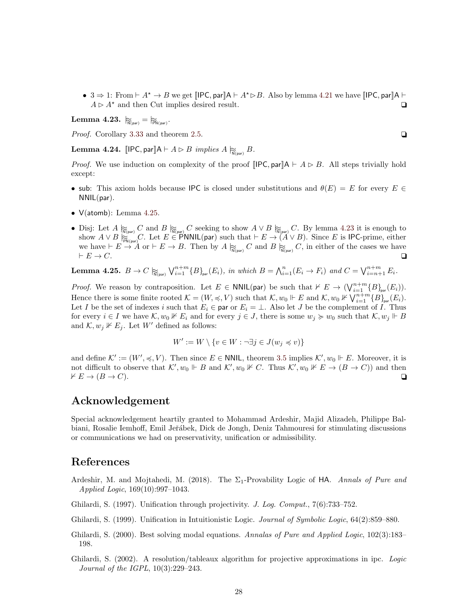•  $3 \Rightarrow 1$ : From  $\vdash A^* \rightarrow B$  we get  $\llbracket \text{IPC}, \text{par} \rrbracket A \vdash A^* \rhd B$ . Also by lemma [4.21](#page-25-0) we have  $\llbracket \text{IPC}, \text{par} \rrbracket A \vdash$  $A \triangleright A^*$  and then Cut implies desired result.

<span id="page-27-7"></span> $\textbf{Lemma 4.23.}\ \mid \mathbb{R}_{\widetilde{\text{N}}(\text{par})} = \mid \mathbb{R}_{\widetilde{\text{PN}}(\text{par})}.$ 

*Proof.* Corollary [3.33](#page-16-2) and theorem [2.5.](#page-5-2)  $\Box$ 

<span id="page-27-5"></span>**Lemma 4.24.** [IPC, par] $A \vdash A \rhd B$  implies  $A \gtrapprox B$ .

*Proof.* We use induction on complexity of the proof  $\text{[IPC}, \text{par} \text{]} \text{A} \vdash A \rhd B$ . All steps trivially hold except:

- sub: This axiom holds because IPC is closed under substitutions and  $\theta(E) = E$  for every  $E \in$ NNIL(par).
- V(atomb): Lemma [4.25.](#page-27-6)
- Disj: Let  $A \underset{\mathsf{N}(\mathsf{par})}{\approx} C$  and  $B \underset{\mathsf{N}(\mathsf{par})}{\approx} C$  seeking to show  $A \vee B \underset{\mathsf{N}(\mathsf{par})}{\approx} C$ . By lemma [4.23](#page-27-7) it is enough to show  $A \vee B \overset{\cdots}{\underset{\text{pmatrix}}{\triangleright}} C$ . Let  $E \in \overset{\cdots}{\text{P}}$  NNIL(par) such that  $\vdash E \rightarrow (A \vee B)$ . Since E is IPC-prime, either we have  $\vdash E \to A$  or  $\vdash E \to B$ . Then by  $A \underset{\mathsf{N}(\mathsf{par})}{\approx} C$  and  $B \underset{\mathsf{N}(\mathsf{par})}{\approx} C$ , in either of the cases we have  $\vdash E \to C$ .  $\vdash E \to C.$

<span id="page-27-6"></span>**Lemma 4.25.**  $B \to C \underset{\text{N}(\text{par})}{\approx} \bigvee_{i=1}^{n+m} \{B\}_{\text{par}}(E_i)$ , in which  $B = \bigwedge_{i=1}^{n} (E_i \to F_i)$  and  $C = \bigvee_{i=n+1}^{n+m} E_i$ .

*Proof.* We reason by contraposition. Let  $E \in \text{NNIL}(\text{par})$  be such that  $\nvdash E \to (\bigvee_{i=1}^{n+m} \{B\}_{\text{par}}(E_i)).$ Hence there is some finite rooted  $\mathcal{K} = (W, \preccurlyeq, V)$  such that  $\mathcal{K}, w_0 \Vdash E$  and  $\mathcal{K}, w_0 \nvDash \bigvee_{i=1}^{n+m} \{B\}_{\text{par}}(E_i)$ . Let I be the set of indexes i such that  $E_i \in \text{par}$  or  $E_i = \perp$ . Also let J be the complement of I. Thus for every  $i \in I$  we have  $\mathcal{K}, w_0 \nVdash E_i$  and for every  $j \in J$ , there is some  $w_j \succcurlyeq w_0$  such that  $\mathcal{K}, w_j \Vdash B$ and  $\mathcal{K}, w_j \nVdash E_j$ . Let W' defined as follows:

$$
W' := W \setminus \{ v \in W : \neg \exists j \in J(w_j \preccurlyeq v) \}
$$

and define  $\mathcal{K}' := (W', \preccurlyeq, V)$ . Then since  $E \in \mathsf{NNIL}$ , theorem [3.5](#page-8-1) implies  $\mathcal{K}', w_0 \Vdash E$ . Moreover, it is not difficult to observe that  $\mathcal{K}', w_0 \Vdash B$  and  $\mathcal{K}', w_0 \nVdash C$ . Thus  $\mathcal{K}', w_0 \nVdash E \to (B \to C)$  and then  $\forall E \rightarrow (B \rightarrow C).$ 

# Acknowledgement

Special acknowledgement heartily granted to Mohammad Ardeshir, Majid Alizadeh, Philippe Balbiani, Rosalie Iemhoff, Emil Jeřábek, Dick de Jongh, Deniz Tahmouresi for stimulating discussions or communications we had on preservativity, unification or admissibility.

# References

- <span id="page-27-2"></span>Ardeshir, M. and Mojtahedi, M. (2018). The  $\Sigma_1$ -Provability Logic of HA. Annals of Pure and Applied Logic, 169(10):997–1043.
- <span id="page-27-3"></span>Ghilardi, S. (1997). Unification through projectivity. J. Log. Comput., 7(6):733–752.
- <span id="page-27-0"></span>Ghilardi, S. (1999). Unification in Intuitionistic Logic. Journal of Symbolic Logic, 64(2):859–880.
- <span id="page-27-1"></span>Ghilardi, S. (2000). Best solving modal equations. Annalas of Pure and Applied Logic, 102(3):183– 198.
- <span id="page-27-4"></span>Ghilardi, S. (2002). A resolution/tableaux algorithm for projective approximations in ipc. Logic Journal of the IGPL, 10(3):229–243.